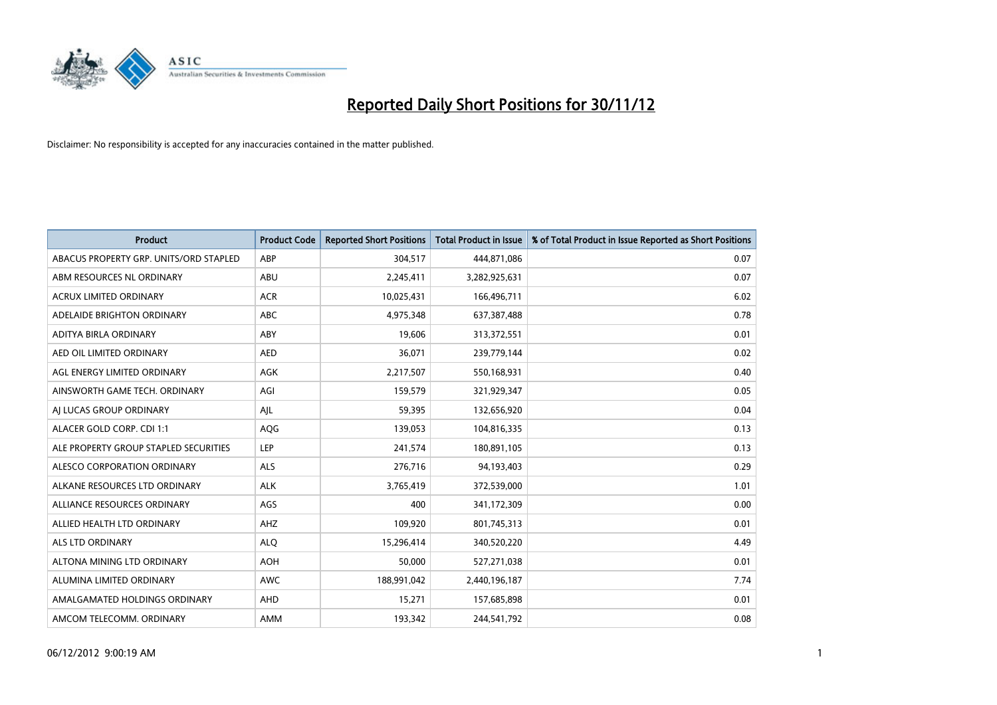

| <b>Product</b>                         | <b>Product Code</b> | <b>Reported Short Positions</b> | <b>Total Product in Issue</b> | % of Total Product in Issue Reported as Short Positions |
|----------------------------------------|---------------------|---------------------------------|-------------------------------|---------------------------------------------------------|
| ABACUS PROPERTY GRP. UNITS/ORD STAPLED | ABP                 | 304,517                         | 444,871,086                   | 0.07                                                    |
| ABM RESOURCES NL ORDINARY              | ABU                 | 2,245,411                       | 3,282,925,631                 | 0.07                                                    |
| <b>ACRUX LIMITED ORDINARY</b>          | <b>ACR</b>          | 10,025,431                      | 166,496,711                   | 6.02                                                    |
| ADELAIDE BRIGHTON ORDINARY             | <b>ABC</b>          | 4,975,348                       | 637,387,488                   | 0.78                                                    |
| <b>ADITYA BIRLA ORDINARY</b>           | ABY                 | 19,606                          | 313,372,551                   | 0.01                                                    |
| AED OIL LIMITED ORDINARY               | <b>AED</b>          | 36,071                          | 239,779,144                   | 0.02                                                    |
| AGL ENERGY LIMITED ORDINARY            | <b>AGK</b>          | 2,217,507                       | 550,168,931                   | 0.40                                                    |
| AINSWORTH GAME TECH. ORDINARY          | AGI                 | 159,579                         | 321,929,347                   | 0.05                                                    |
| AI LUCAS GROUP ORDINARY                | AJL                 | 59,395                          | 132,656,920                   | 0.04                                                    |
| ALACER GOLD CORP. CDI 1:1              | AQG                 | 139,053                         | 104,816,335                   | 0.13                                                    |
| ALE PROPERTY GROUP STAPLED SECURITIES  | LEP                 | 241,574                         | 180,891,105                   | 0.13                                                    |
| ALESCO CORPORATION ORDINARY            | <b>ALS</b>          | 276,716                         | 94,193,403                    | 0.29                                                    |
| ALKANE RESOURCES LTD ORDINARY          | <b>ALK</b>          | 3,765,419                       | 372,539,000                   | 1.01                                                    |
| ALLIANCE RESOURCES ORDINARY            | AGS                 | 400                             | 341,172,309                   | 0.00                                                    |
| ALLIED HEALTH LTD ORDINARY             | AHZ                 | 109,920                         | 801,745,313                   | 0.01                                                    |
| ALS LTD ORDINARY                       | <b>ALO</b>          | 15,296,414                      | 340,520,220                   | 4.49                                                    |
| ALTONA MINING LTD ORDINARY             | <b>AOH</b>          | 50,000                          | 527,271,038                   | 0.01                                                    |
| ALUMINA LIMITED ORDINARY               | <b>AWC</b>          | 188,991,042                     | 2,440,196,187                 | 7.74                                                    |
| AMALGAMATED HOLDINGS ORDINARY          | AHD                 | 15,271                          | 157,685,898                   | 0.01                                                    |
| AMCOM TELECOMM. ORDINARY               | <b>AMM</b>          | 193,342                         | 244,541,792                   | 0.08                                                    |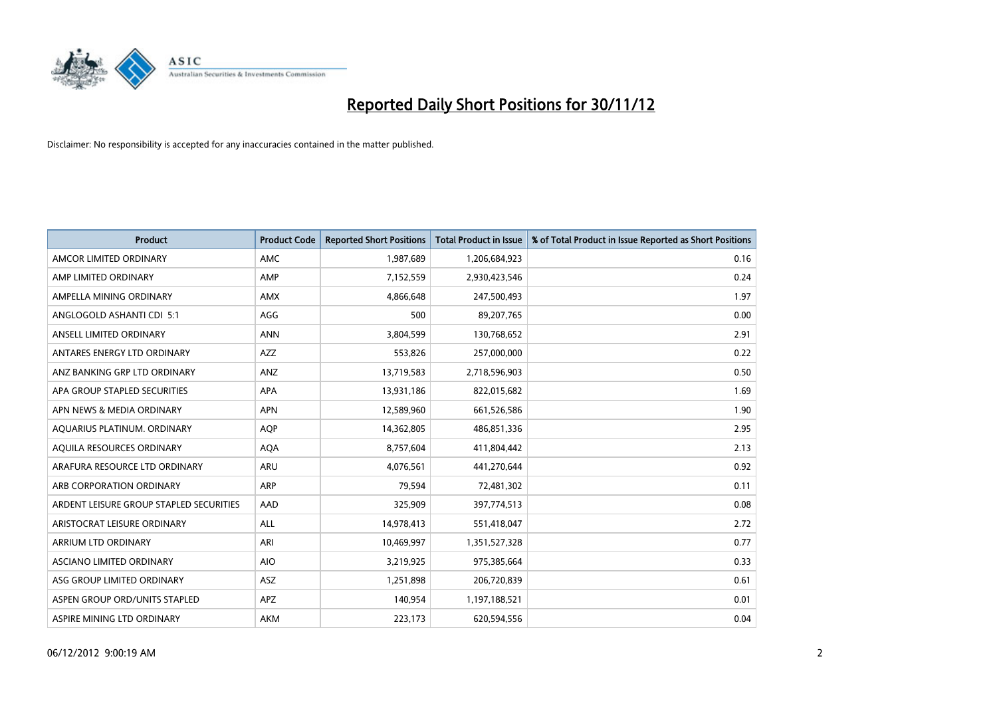

| <b>Product</b>                          | <b>Product Code</b> | <b>Reported Short Positions</b> | <b>Total Product in Issue</b> | % of Total Product in Issue Reported as Short Positions |
|-----------------------------------------|---------------------|---------------------------------|-------------------------------|---------------------------------------------------------|
| AMCOR LIMITED ORDINARY                  | <b>AMC</b>          | 1,987,689                       | 1,206,684,923                 | 0.16                                                    |
| AMP LIMITED ORDINARY                    | AMP                 | 7,152,559                       | 2,930,423,546                 | 0.24                                                    |
| AMPELLA MINING ORDINARY                 | <b>AMX</b>          | 4,866,648                       | 247,500,493                   | 1.97                                                    |
| ANGLOGOLD ASHANTI CDI 5:1               | AGG                 | 500                             | 89,207,765                    | 0.00                                                    |
| ANSELL LIMITED ORDINARY                 | <b>ANN</b>          | 3,804,599                       | 130,768,652                   | 2.91                                                    |
| ANTARES ENERGY LTD ORDINARY             | <b>AZZ</b>          | 553,826                         | 257,000,000                   | 0.22                                                    |
| ANZ BANKING GRP LTD ORDINARY            | ANZ                 | 13,719,583                      | 2,718,596,903                 | 0.50                                                    |
| APA GROUP STAPLED SECURITIES            | <b>APA</b>          | 13,931,186                      | 822,015,682                   | 1.69                                                    |
| APN NEWS & MEDIA ORDINARY               | <b>APN</b>          | 12,589,960                      | 661,526,586                   | 1.90                                                    |
| AQUARIUS PLATINUM. ORDINARY             | <b>AOP</b>          | 14,362,805                      | 486,851,336                   | 2.95                                                    |
| AQUILA RESOURCES ORDINARY               | <b>AQA</b>          | 8,757,604                       | 411,804,442                   | 2.13                                                    |
| ARAFURA RESOURCE LTD ORDINARY           | <b>ARU</b>          | 4,076,561                       | 441,270,644                   | 0.92                                                    |
| ARB CORPORATION ORDINARY                | <b>ARP</b>          | 79,594                          | 72,481,302                    | 0.11                                                    |
| ARDENT LEISURE GROUP STAPLED SECURITIES | AAD                 | 325,909                         | 397,774,513                   | 0.08                                                    |
| ARISTOCRAT LEISURE ORDINARY             | ALL                 | 14,978,413                      | 551,418,047                   | 2.72                                                    |
| ARRIUM LTD ORDINARY                     | ARI                 | 10,469,997                      | 1,351,527,328                 | 0.77                                                    |
| ASCIANO LIMITED ORDINARY                | <b>AIO</b>          | 3,219,925                       | 975,385,664                   | 0.33                                                    |
| ASG GROUP LIMITED ORDINARY              | <b>ASZ</b>          | 1,251,898                       | 206,720,839                   | 0.61                                                    |
| ASPEN GROUP ORD/UNITS STAPLED           | <b>APZ</b>          | 140,954                         | 1,197,188,521                 | 0.01                                                    |
| ASPIRE MINING LTD ORDINARY              | <b>AKM</b>          | 223,173                         | 620,594,556                   | 0.04                                                    |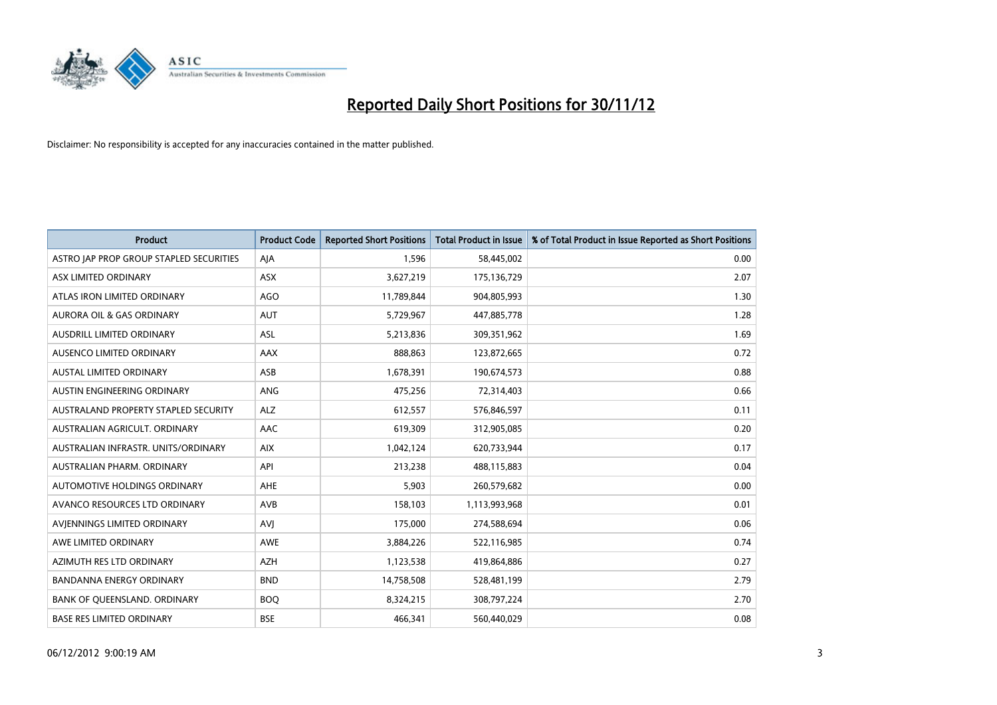

| <b>Product</b>                          | <b>Product Code</b> | <b>Reported Short Positions</b> | <b>Total Product in Issue</b> | % of Total Product in Issue Reported as Short Positions |
|-----------------------------------------|---------------------|---------------------------------|-------------------------------|---------------------------------------------------------|
| ASTRO JAP PROP GROUP STAPLED SECURITIES | AJA                 | 1,596                           | 58,445,002                    | 0.00                                                    |
| ASX LIMITED ORDINARY                    | <b>ASX</b>          | 3,627,219                       | 175,136,729                   | 2.07                                                    |
| ATLAS IRON LIMITED ORDINARY             | <b>AGO</b>          | 11,789,844                      | 904,805,993                   | 1.30                                                    |
| AURORA OIL & GAS ORDINARY               | <b>AUT</b>          | 5,729,967                       | 447,885,778                   | 1.28                                                    |
| AUSDRILL LIMITED ORDINARY               | ASL                 | 5,213,836                       | 309,351,962                   | 1.69                                                    |
| AUSENCO LIMITED ORDINARY                | <b>AAX</b>          | 888,863                         | 123,872,665                   | 0.72                                                    |
| AUSTAL LIMITED ORDINARY                 | ASB                 | 1,678,391                       | 190,674,573                   | 0.88                                                    |
| AUSTIN ENGINEERING ORDINARY             | ANG                 | 475,256                         | 72,314,403                    | 0.66                                                    |
| AUSTRALAND PROPERTY STAPLED SECURITY    | <b>ALZ</b>          | 612,557                         | 576,846,597                   | 0.11                                                    |
| AUSTRALIAN AGRICULT, ORDINARY           | AAC                 | 619,309                         | 312,905,085                   | 0.20                                                    |
| AUSTRALIAN INFRASTR. UNITS/ORDINARY     | <b>AIX</b>          | 1,042,124                       | 620,733,944                   | 0.17                                                    |
| AUSTRALIAN PHARM, ORDINARY              | API                 | 213,238                         | 488,115,883                   | 0.04                                                    |
| AUTOMOTIVE HOLDINGS ORDINARY            | AHE                 | 5,903                           | 260,579,682                   | 0.00                                                    |
| AVANCO RESOURCES LTD ORDINARY           | AVB                 | 158,103                         | 1,113,993,968                 | 0.01                                                    |
| AVIENNINGS LIMITED ORDINARY             | AVI                 | 175,000                         | 274,588,694                   | 0.06                                                    |
| AWE LIMITED ORDINARY                    | <b>AWE</b>          | 3,884,226                       | 522,116,985                   | 0.74                                                    |
| AZIMUTH RES LTD ORDINARY                | <b>AZH</b>          | 1,123,538                       | 419,864,886                   | 0.27                                                    |
| BANDANNA ENERGY ORDINARY                | <b>BND</b>          | 14,758,508                      | 528,481,199                   | 2.79                                                    |
| BANK OF QUEENSLAND. ORDINARY            | <b>BOQ</b>          | 8,324,215                       | 308,797,224                   | 2.70                                                    |
| <b>BASE RES LIMITED ORDINARY</b>        | <b>BSE</b>          | 466,341                         | 560,440,029                   | 0.08                                                    |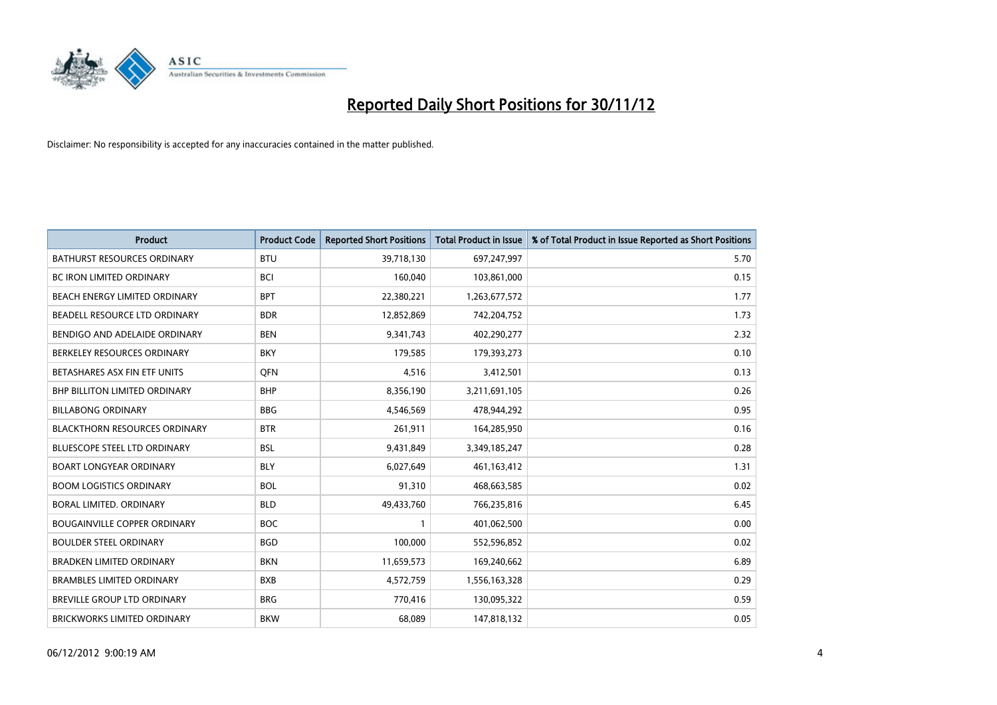

| <b>Product</b>                       | <b>Product Code</b> | <b>Reported Short Positions</b> | <b>Total Product in Issue</b> | % of Total Product in Issue Reported as Short Positions |
|--------------------------------------|---------------------|---------------------------------|-------------------------------|---------------------------------------------------------|
| <b>BATHURST RESOURCES ORDINARY</b>   | <b>BTU</b>          | 39,718,130                      | 697,247,997                   | 5.70                                                    |
| BC IRON LIMITED ORDINARY             | <b>BCI</b>          | 160,040                         | 103,861,000                   | 0.15                                                    |
| <b>BEACH ENERGY LIMITED ORDINARY</b> | <b>BPT</b>          | 22,380,221                      | 1,263,677,572                 | 1.77                                                    |
| BEADELL RESOURCE LTD ORDINARY        | <b>BDR</b>          | 12,852,869                      | 742,204,752                   | 1.73                                                    |
| BENDIGO AND ADELAIDE ORDINARY        | <b>BEN</b>          | 9,341,743                       | 402,290,277                   | 2.32                                                    |
| BERKELEY RESOURCES ORDINARY          | <b>BKY</b>          | 179,585                         | 179,393,273                   | 0.10                                                    |
| BETASHARES ASX FIN ETF UNITS         | <b>OFN</b>          | 4,516                           | 3,412,501                     | 0.13                                                    |
| BHP BILLITON LIMITED ORDINARY        | <b>BHP</b>          | 8,356,190                       | 3,211,691,105                 | 0.26                                                    |
| <b>BILLABONG ORDINARY</b>            | <b>BBG</b>          | 4,546,569                       | 478,944,292                   | 0.95                                                    |
| <b>BLACKTHORN RESOURCES ORDINARY</b> | <b>BTR</b>          | 261,911                         | 164,285,950                   | 0.16                                                    |
| BLUESCOPE STEEL LTD ORDINARY         | <b>BSL</b>          | 9,431,849                       | 3,349,185,247                 | 0.28                                                    |
| <b>BOART LONGYEAR ORDINARY</b>       | <b>BLY</b>          | 6,027,649                       | 461,163,412                   | 1.31                                                    |
| <b>BOOM LOGISTICS ORDINARY</b>       | <b>BOL</b>          | 91,310                          | 468,663,585                   | 0.02                                                    |
| BORAL LIMITED, ORDINARY              | <b>BLD</b>          | 49,433,760                      | 766,235,816                   | 6.45                                                    |
| <b>BOUGAINVILLE COPPER ORDINARY</b>  | <b>BOC</b>          |                                 | 401,062,500                   | 0.00                                                    |
| <b>BOULDER STEEL ORDINARY</b>        | <b>BGD</b>          | 100,000                         | 552,596,852                   | 0.02                                                    |
| <b>BRADKEN LIMITED ORDINARY</b>      | <b>BKN</b>          | 11,659,573                      | 169,240,662                   | 6.89                                                    |
| <b>BRAMBLES LIMITED ORDINARY</b>     | <b>BXB</b>          | 4,572,759                       | 1,556,163,328                 | 0.29                                                    |
| <b>BREVILLE GROUP LTD ORDINARY</b>   | <b>BRG</b>          | 770,416                         | 130,095,322                   | 0.59                                                    |
| BRICKWORKS LIMITED ORDINARY          | <b>BKW</b>          | 68,089                          | 147,818,132                   | 0.05                                                    |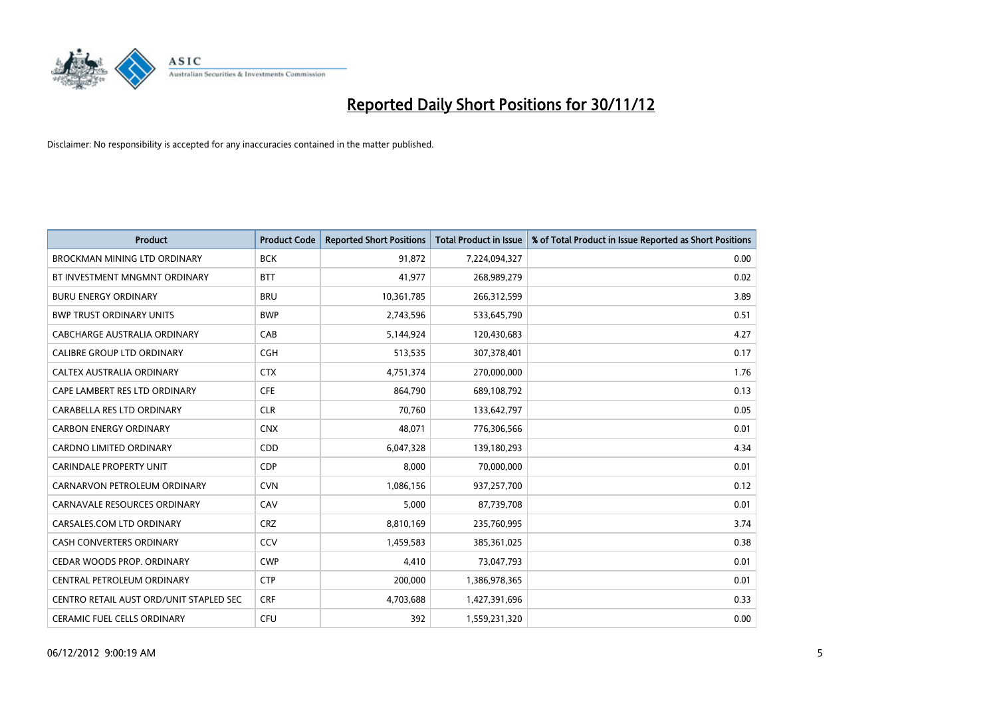

| <b>Product</b>                          | <b>Product Code</b> | <b>Reported Short Positions</b> | <b>Total Product in Issue</b> | % of Total Product in Issue Reported as Short Positions |
|-----------------------------------------|---------------------|---------------------------------|-------------------------------|---------------------------------------------------------|
| <b>BROCKMAN MINING LTD ORDINARY</b>     | <b>BCK</b>          | 91.872                          | 7,224,094,327                 | 0.00                                                    |
| BT INVESTMENT MNGMNT ORDINARY           | <b>BTT</b>          | 41,977                          | 268,989,279                   | 0.02                                                    |
| <b>BURU ENERGY ORDINARY</b>             | <b>BRU</b>          | 10,361,785                      | 266,312,599                   | 3.89                                                    |
| <b>BWP TRUST ORDINARY UNITS</b>         | <b>BWP</b>          | 2,743,596                       | 533,645,790                   | 0.51                                                    |
| CABCHARGE AUSTRALIA ORDINARY            | CAB                 | 5,144,924                       | 120,430,683                   | 4.27                                                    |
| <b>CALIBRE GROUP LTD ORDINARY</b>       | <b>CGH</b>          | 513,535                         | 307,378,401                   | 0.17                                                    |
| CALTEX AUSTRALIA ORDINARY               | <b>CTX</b>          | 4,751,374                       | 270,000,000                   | 1.76                                                    |
| CAPE LAMBERT RES LTD ORDINARY           | <b>CFE</b>          | 864,790                         | 689,108,792                   | 0.13                                                    |
| CARABELLA RES LTD ORDINARY              | <b>CLR</b>          | 70,760                          | 133,642,797                   | 0.05                                                    |
| <b>CARBON ENERGY ORDINARY</b>           | <b>CNX</b>          | 48,071                          | 776,306,566                   | 0.01                                                    |
| CARDNO LIMITED ORDINARY                 | CDD                 | 6,047,328                       | 139,180,293                   | 4.34                                                    |
| <b>CARINDALE PROPERTY UNIT</b>          | <b>CDP</b>          | 8,000                           | 70,000,000                    | 0.01                                                    |
| CARNARVON PETROLEUM ORDINARY            | <b>CVN</b>          | 1,086,156                       | 937,257,700                   | 0.12                                                    |
| <b>CARNAVALE RESOURCES ORDINARY</b>     | CAV                 | 5,000                           | 87,739,708                    | 0.01                                                    |
| CARSALES.COM LTD ORDINARY               | <b>CRZ</b>          | 8,810,169                       | 235,760,995                   | 3.74                                                    |
| CASH CONVERTERS ORDINARY                | CCV                 | 1,459,583                       | 385,361,025                   | 0.38                                                    |
| CEDAR WOODS PROP. ORDINARY              | <b>CWP</b>          | 4,410                           | 73,047,793                    | 0.01                                                    |
| CENTRAL PETROLEUM ORDINARY              | <b>CTP</b>          | 200,000                         | 1,386,978,365                 | 0.01                                                    |
| CENTRO RETAIL AUST ORD/UNIT STAPLED SEC | <b>CRF</b>          | 4,703,688                       | 1,427,391,696                 | 0.33                                                    |
| CERAMIC FUEL CELLS ORDINARY             | CFU                 | 392                             | 1,559,231,320                 | 0.00                                                    |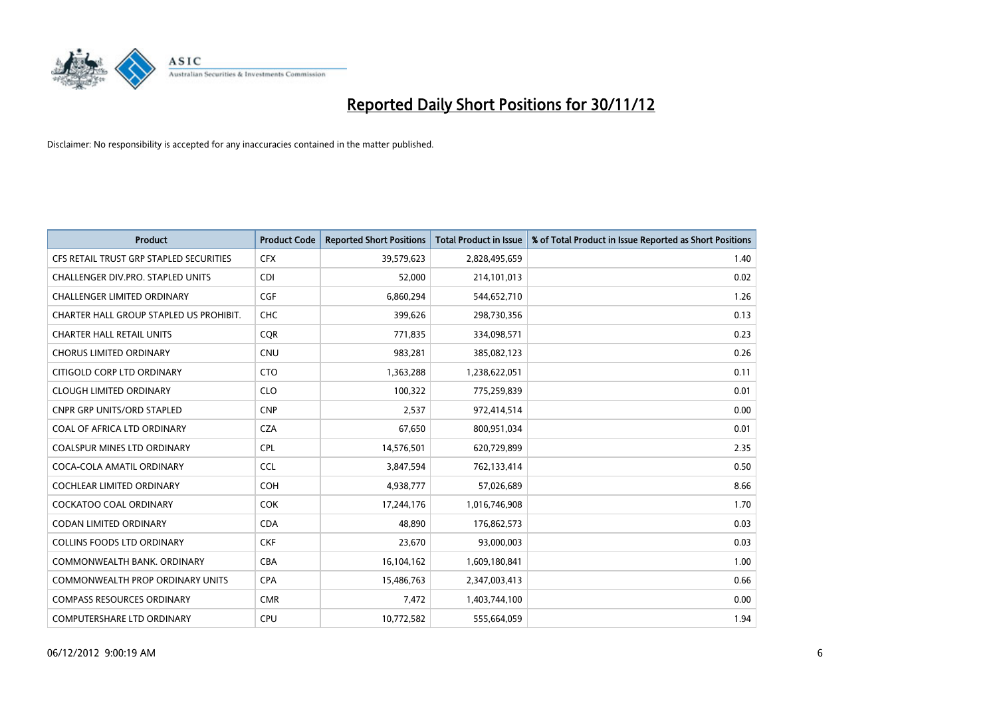

| <b>Product</b>                           | <b>Product Code</b> | <b>Reported Short Positions</b> | <b>Total Product in Issue</b> | % of Total Product in Issue Reported as Short Positions |
|------------------------------------------|---------------------|---------------------------------|-------------------------------|---------------------------------------------------------|
| CFS RETAIL TRUST GRP STAPLED SECURITIES  | <b>CFX</b>          | 39,579,623                      | 2,828,495,659                 | 1.40                                                    |
| <b>CHALLENGER DIV.PRO. STAPLED UNITS</b> | <b>CDI</b>          | 52,000                          | 214,101,013                   | 0.02                                                    |
| CHALLENGER LIMITED ORDINARY              | <b>CGF</b>          | 6,860,294                       | 544,652,710                   | 1.26                                                    |
| CHARTER HALL GROUP STAPLED US PROHIBIT.  | <b>CHC</b>          | 399,626                         | 298,730,356                   | 0.13                                                    |
| <b>CHARTER HALL RETAIL UNITS</b>         | <b>COR</b>          | 771,835                         | 334,098,571                   | 0.23                                                    |
| <b>CHORUS LIMITED ORDINARY</b>           | <b>CNU</b>          | 983,281                         | 385,082,123                   | 0.26                                                    |
| CITIGOLD CORP LTD ORDINARY               | <b>CTO</b>          | 1,363,288                       | 1,238,622,051                 | 0.11                                                    |
| <b>CLOUGH LIMITED ORDINARY</b>           | <b>CLO</b>          | 100,322                         | 775,259,839                   | 0.01                                                    |
| <b>CNPR GRP UNITS/ORD STAPLED</b>        | <b>CNP</b>          | 2,537                           | 972,414,514                   | 0.00                                                    |
| COAL OF AFRICA LTD ORDINARY              | <b>CZA</b>          | 67,650                          | 800,951,034                   | 0.01                                                    |
| COALSPUR MINES LTD ORDINARY              | <b>CPL</b>          | 14,576,501                      | 620,729,899                   | 2.35                                                    |
| COCA-COLA AMATIL ORDINARY                | <b>CCL</b>          | 3,847,594                       | 762,133,414                   | 0.50                                                    |
| <b>COCHLEAR LIMITED ORDINARY</b>         | <b>COH</b>          | 4,938,777                       | 57,026,689                    | 8.66                                                    |
| <b>COCKATOO COAL ORDINARY</b>            | <b>COK</b>          | 17,244,176                      | 1,016,746,908                 | 1.70                                                    |
| CODAN LIMITED ORDINARY                   | <b>CDA</b>          | 48,890                          | 176,862,573                   | 0.03                                                    |
| <b>COLLINS FOODS LTD ORDINARY</b>        | <b>CKF</b>          | 23,670                          | 93,000,003                    | 0.03                                                    |
| COMMONWEALTH BANK, ORDINARY              | <b>CBA</b>          | 16,104,162                      | 1,609,180,841                 | 1.00                                                    |
| <b>COMMONWEALTH PROP ORDINARY UNITS</b>  | <b>CPA</b>          | 15,486,763                      | 2,347,003,413                 | 0.66                                                    |
| <b>COMPASS RESOURCES ORDINARY</b>        | <b>CMR</b>          | 7,472                           | 1,403,744,100                 | 0.00                                                    |
| <b>COMPUTERSHARE LTD ORDINARY</b>        | <b>CPU</b>          | 10,772,582                      | 555,664,059                   | 1.94                                                    |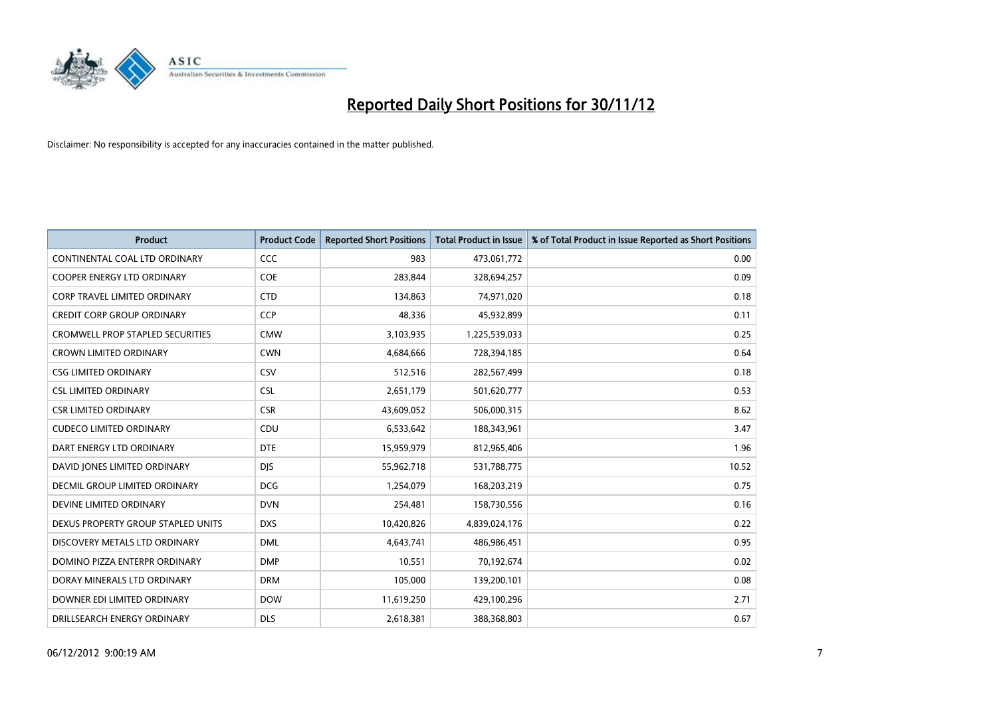

| <b>Product</b>                          | <b>Product Code</b> | <b>Reported Short Positions</b> | Total Product in Issue | % of Total Product in Issue Reported as Short Positions |
|-----------------------------------------|---------------------|---------------------------------|------------------------|---------------------------------------------------------|
| CONTINENTAL COAL LTD ORDINARY           | <b>CCC</b>          | 983                             | 473,061,772            | 0.00                                                    |
| COOPER ENERGY LTD ORDINARY              | <b>COE</b>          | 283,844                         | 328,694,257            | 0.09                                                    |
| <b>CORP TRAVEL LIMITED ORDINARY</b>     | <b>CTD</b>          | 134,863                         | 74,971,020             | 0.18                                                    |
| <b>CREDIT CORP GROUP ORDINARY</b>       | <b>CCP</b>          | 48,336                          | 45,932,899             | 0.11                                                    |
| <b>CROMWELL PROP STAPLED SECURITIES</b> | <b>CMW</b>          | 3,103,935                       | 1,225,539,033          | 0.25                                                    |
| <b>CROWN LIMITED ORDINARY</b>           | <b>CWN</b>          | 4,684,666                       | 728,394,185            | 0.64                                                    |
| <b>CSG LIMITED ORDINARY</b>             | CSV                 | 512,516                         | 282,567,499            | 0.18                                                    |
| <b>CSL LIMITED ORDINARY</b>             | <b>CSL</b>          | 2,651,179                       | 501,620,777            | 0.53                                                    |
| <b>CSR LIMITED ORDINARY</b>             | <b>CSR</b>          | 43,609,052                      | 506,000,315            | 8.62                                                    |
| <b>CUDECO LIMITED ORDINARY</b>          | CDU                 | 6,533,642                       | 188,343,961            | 3.47                                                    |
| DART ENERGY LTD ORDINARY                | <b>DTE</b>          | 15,959,979                      | 812,965,406            | 1.96                                                    |
| DAVID JONES LIMITED ORDINARY            | <b>DJS</b>          | 55,962,718                      | 531,788,775            | 10.52                                                   |
| <b>DECMIL GROUP LIMITED ORDINARY</b>    | <b>DCG</b>          | 1,254,079                       | 168,203,219            | 0.75                                                    |
| DEVINE LIMITED ORDINARY                 | <b>DVN</b>          | 254,481                         | 158,730,556            | 0.16                                                    |
| DEXUS PROPERTY GROUP STAPLED UNITS      | <b>DXS</b>          | 10,420,826                      | 4,839,024,176          | 0.22                                                    |
| DISCOVERY METALS LTD ORDINARY           | <b>DML</b>          | 4,643,741                       | 486,986,451            | 0.95                                                    |
| DOMINO PIZZA ENTERPR ORDINARY           | <b>DMP</b>          | 10,551                          | 70,192,674             | 0.02                                                    |
| DORAY MINERALS LTD ORDINARY             | <b>DRM</b>          | 105,000                         | 139,200,101            | 0.08                                                    |
| DOWNER EDI LIMITED ORDINARY             | <b>DOW</b>          | 11,619,250                      | 429,100,296            | 2.71                                                    |
| DRILLSEARCH ENERGY ORDINARY             | <b>DLS</b>          | 2,618,381                       | 388,368,803            | 0.67                                                    |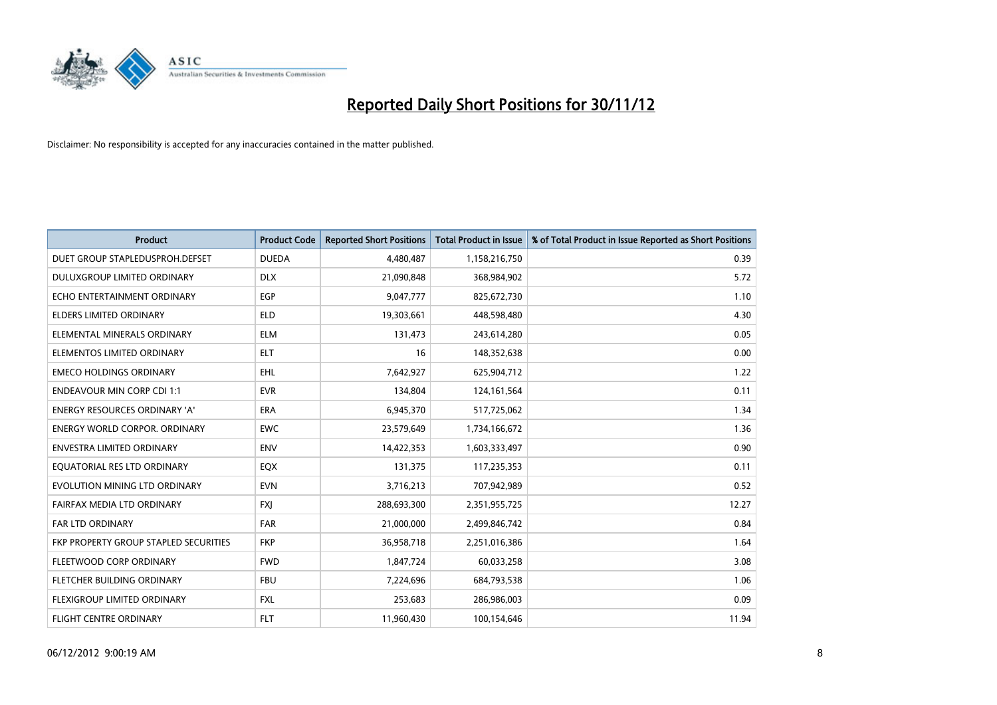

| <b>Product</b>                        | <b>Product Code</b> | <b>Reported Short Positions</b> | <b>Total Product in Issue</b> | % of Total Product in Issue Reported as Short Positions |
|---------------------------------------|---------------------|---------------------------------|-------------------------------|---------------------------------------------------------|
| DUET GROUP STAPLEDUSPROH.DEFSET       | <b>DUEDA</b>        | 4,480,487                       | 1,158,216,750                 | 0.39                                                    |
| DULUXGROUP LIMITED ORDINARY           | <b>DLX</b>          | 21,090,848                      | 368,984,902                   | 5.72                                                    |
| ECHO ENTERTAINMENT ORDINARY           | <b>EGP</b>          | 9,047,777                       | 825,672,730                   | 1.10                                                    |
| <b>ELDERS LIMITED ORDINARY</b>        | <b>ELD</b>          | 19,303,661                      | 448,598,480                   | 4.30                                                    |
| ELEMENTAL MINERALS ORDINARY           | <b>ELM</b>          | 131,473                         | 243,614,280                   | 0.05                                                    |
| ELEMENTOS LIMITED ORDINARY            | <b>ELT</b>          | 16                              | 148,352,638                   | 0.00                                                    |
| <b>EMECO HOLDINGS ORDINARY</b>        | <b>EHL</b>          | 7,642,927                       | 625,904,712                   | 1.22                                                    |
| <b>ENDEAVOUR MIN CORP CDI 1:1</b>     | <b>EVR</b>          | 134,804                         | 124, 161, 564                 | 0.11                                                    |
| ENERGY RESOURCES ORDINARY 'A'         | ERA                 | 6,945,370                       | 517,725,062                   | 1.34                                                    |
| <b>ENERGY WORLD CORPOR, ORDINARY</b>  | <b>EWC</b>          | 23,579,649                      | 1,734,166,672                 | 1.36                                                    |
| <b>ENVESTRA LIMITED ORDINARY</b>      | <b>ENV</b>          | 14,422,353                      | 1,603,333,497                 | 0.90                                                    |
| EQUATORIAL RES LTD ORDINARY           | <b>EQX</b>          | 131,375                         | 117,235,353                   | 0.11                                                    |
| EVOLUTION MINING LTD ORDINARY         | <b>EVN</b>          | 3,716,213                       | 707,942,989                   | 0.52                                                    |
| FAIRFAX MEDIA LTD ORDINARY            | <b>FXI</b>          | 288,693,300                     | 2,351,955,725                 | 12.27                                                   |
| FAR LTD ORDINARY                      | <b>FAR</b>          | 21,000,000                      | 2,499,846,742                 | 0.84                                                    |
| FKP PROPERTY GROUP STAPLED SECURITIES | <b>FKP</b>          | 36,958,718                      | 2,251,016,386                 | 1.64                                                    |
| FLEETWOOD CORP ORDINARY               | <b>FWD</b>          | 1,847,724                       | 60,033,258                    | 3.08                                                    |
| FLETCHER BUILDING ORDINARY            | <b>FBU</b>          | 7,224,696                       | 684,793,538                   | 1.06                                                    |
| <b>FLEXIGROUP LIMITED ORDINARY</b>    | <b>FXL</b>          | 253,683                         | 286,986,003                   | 0.09                                                    |
| FLIGHT CENTRE ORDINARY                | <b>FLT</b>          | 11,960,430                      | 100,154,646                   | 11.94                                                   |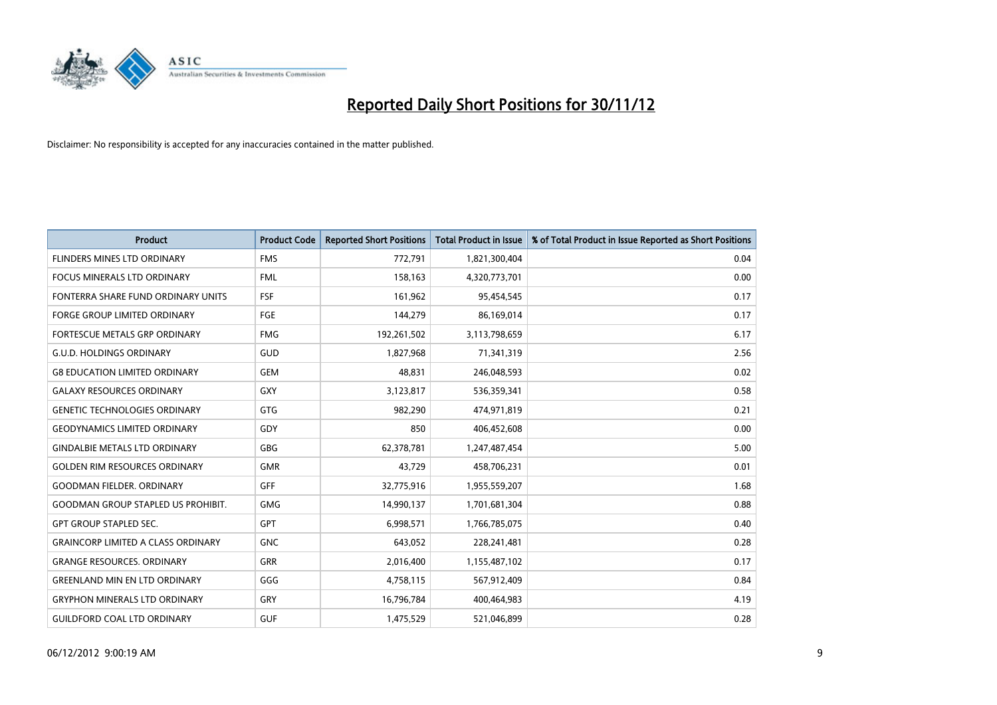

| <b>Product</b>                            | <b>Product Code</b> | <b>Reported Short Positions</b> | <b>Total Product in Issue</b> | % of Total Product in Issue Reported as Short Positions |
|-------------------------------------------|---------------------|---------------------------------|-------------------------------|---------------------------------------------------------|
| FLINDERS MINES LTD ORDINARY               | <b>FMS</b>          | 772,791                         | 1,821,300,404                 | 0.04                                                    |
| <b>FOCUS MINERALS LTD ORDINARY</b>        | <b>FML</b>          | 158,163                         | 4,320,773,701                 | 0.00                                                    |
| FONTERRA SHARE FUND ORDINARY UNITS        | <b>FSF</b>          | 161,962                         | 95,454,545                    | 0.17                                                    |
| FORGE GROUP LIMITED ORDINARY              | FGE                 | 144,279                         | 86,169,014                    | 0.17                                                    |
| FORTESCUE METALS GRP ORDINARY             | <b>FMG</b>          | 192,261,502                     | 3,113,798,659                 | 6.17                                                    |
| <b>G.U.D. HOLDINGS ORDINARY</b>           | GUD                 | 1,827,968                       | 71,341,319                    | 2.56                                                    |
| <b>G8 EDUCATION LIMITED ORDINARY</b>      | <b>GEM</b>          | 48.831                          | 246,048,593                   | 0.02                                                    |
| <b>GALAXY RESOURCES ORDINARY</b>          | <b>GXY</b>          | 3,123,817                       | 536,359,341                   | 0.58                                                    |
| <b>GENETIC TECHNOLOGIES ORDINARY</b>      | <b>GTG</b>          | 982,290                         | 474,971,819                   | 0.21                                                    |
| <b>GEODYNAMICS LIMITED ORDINARY</b>       | GDY                 | 850                             | 406,452,608                   | 0.00                                                    |
| <b>GINDALBIE METALS LTD ORDINARY</b>      | <b>GBG</b>          | 62,378,781                      | 1,247,487,454                 | 5.00                                                    |
| <b>GOLDEN RIM RESOURCES ORDINARY</b>      | <b>GMR</b>          | 43,729                          | 458,706,231                   | 0.01                                                    |
| <b>GOODMAN FIELDER, ORDINARY</b>          | GFF                 | 32,775,916                      | 1,955,559,207                 | 1.68                                                    |
| <b>GOODMAN GROUP STAPLED US PROHIBIT.</b> | <b>GMG</b>          | 14,990,137                      | 1,701,681,304                 | 0.88                                                    |
| <b>GPT GROUP STAPLED SEC.</b>             | <b>GPT</b>          | 6,998,571                       | 1,766,785,075                 | 0.40                                                    |
| <b>GRAINCORP LIMITED A CLASS ORDINARY</b> | <b>GNC</b>          | 643,052                         | 228,241,481                   | 0.28                                                    |
| <b>GRANGE RESOURCES, ORDINARY</b>         | <b>GRR</b>          | 2,016,400                       | 1,155,487,102                 | 0.17                                                    |
| <b>GREENLAND MIN EN LTD ORDINARY</b>      | GGG                 | 4,758,115                       | 567,912,409                   | 0.84                                                    |
| <b>GRYPHON MINERALS LTD ORDINARY</b>      | GRY                 | 16,796,784                      | 400,464,983                   | 4.19                                                    |
| <b>GUILDFORD COAL LTD ORDINARY</b>        | <b>GUF</b>          | 1,475,529                       | 521,046,899                   | 0.28                                                    |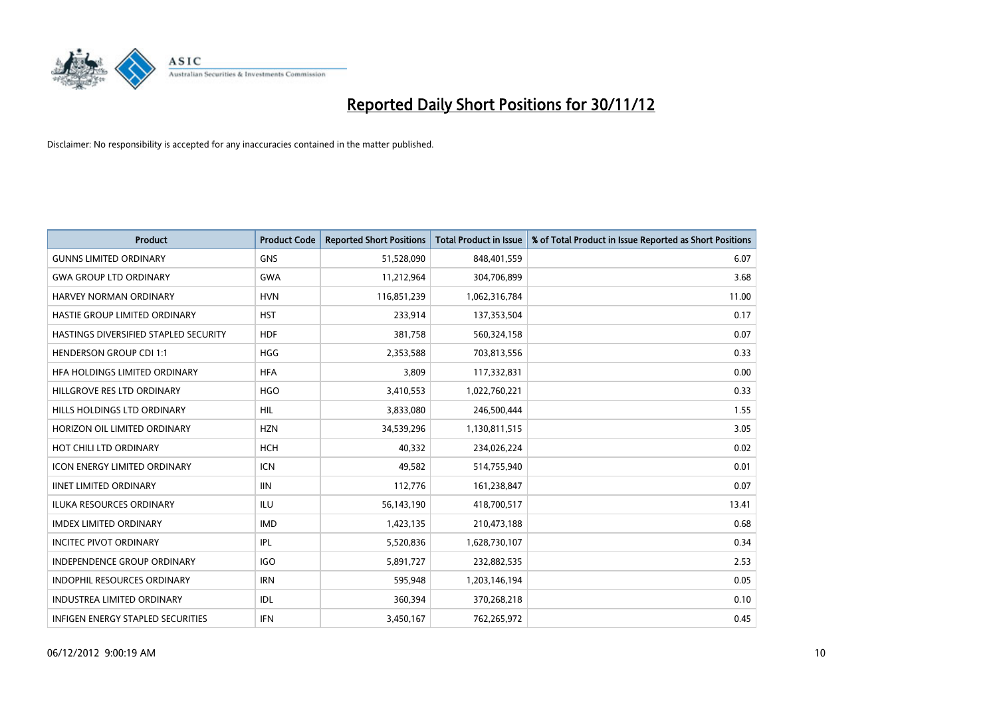

| <b>Product</b>                        | <b>Product Code</b> | <b>Reported Short Positions</b> | <b>Total Product in Issue</b> | % of Total Product in Issue Reported as Short Positions |
|---------------------------------------|---------------------|---------------------------------|-------------------------------|---------------------------------------------------------|
| <b>GUNNS LIMITED ORDINARY</b>         | <b>GNS</b>          | 51,528,090                      | 848,401,559                   | 6.07                                                    |
| <b>GWA GROUP LTD ORDINARY</b>         | <b>GWA</b>          | 11,212,964                      | 304,706,899                   | 3.68                                                    |
| HARVEY NORMAN ORDINARY                | <b>HVN</b>          | 116,851,239                     | 1,062,316,784                 | 11.00                                                   |
| HASTIE GROUP LIMITED ORDINARY         | <b>HST</b>          | 233,914                         | 137,353,504                   | 0.17                                                    |
| HASTINGS DIVERSIFIED STAPLED SECURITY | <b>HDF</b>          | 381,758                         | 560,324,158                   | 0.07                                                    |
| <b>HENDERSON GROUP CDI 1:1</b>        | <b>HGG</b>          | 2,353,588                       | 703,813,556                   | 0.33                                                    |
| HFA HOLDINGS LIMITED ORDINARY         | <b>HFA</b>          | 3,809                           | 117,332,831                   | 0.00                                                    |
| HILLGROVE RES LTD ORDINARY            | <b>HGO</b>          | 3,410,553                       | 1,022,760,221                 | 0.33                                                    |
| HILLS HOLDINGS LTD ORDINARY           | HIL                 | 3,833,080                       | 246,500,444                   | 1.55                                                    |
| HORIZON OIL LIMITED ORDINARY          | <b>HZN</b>          | 34,539,296                      | 1,130,811,515                 | 3.05                                                    |
| HOT CHILI LTD ORDINARY                | <b>HCH</b>          | 40,332                          | 234,026,224                   | 0.02                                                    |
| <b>ICON ENERGY LIMITED ORDINARY</b>   | <b>ICN</b>          | 49,582                          | 514,755,940                   | 0.01                                                    |
| <b>IINET LIMITED ORDINARY</b>         | <b>IIN</b>          | 112,776                         | 161,238,847                   | 0.07                                                    |
| <b>ILUKA RESOURCES ORDINARY</b>       | ILU                 | 56,143,190                      | 418,700,517                   | 13.41                                                   |
| <b>IMDEX LIMITED ORDINARY</b>         | <b>IMD</b>          | 1,423,135                       | 210,473,188                   | 0.68                                                    |
| <b>INCITEC PIVOT ORDINARY</b>         | IPL                 | 5,520,836                       | 1,628,730,107                 | 0.34                                                    |
| <b>INDEPENDENCE GROUP ORDINARY</b>    | <b>IGO</b>          | 5,891,727                       | 232,882,535                   | 2.53                                                    |
| INDOPHIL RESOURCES ORDINARY           | <b>IRN</b>          | 595,948                         | 1,203,146,194                 | 0.05                                                    |
| <b>INDUSTREA LIMITED ORDINARY</b>     | IDL                 | 360,394                         | 370,268,218                   | 0.10                                                    |
| INFIGEN ENERGY STAPLED SECURITIES     | <b>IFN</b>          | 3,450,167                       | 762,265,972                   | 0.45                                                    |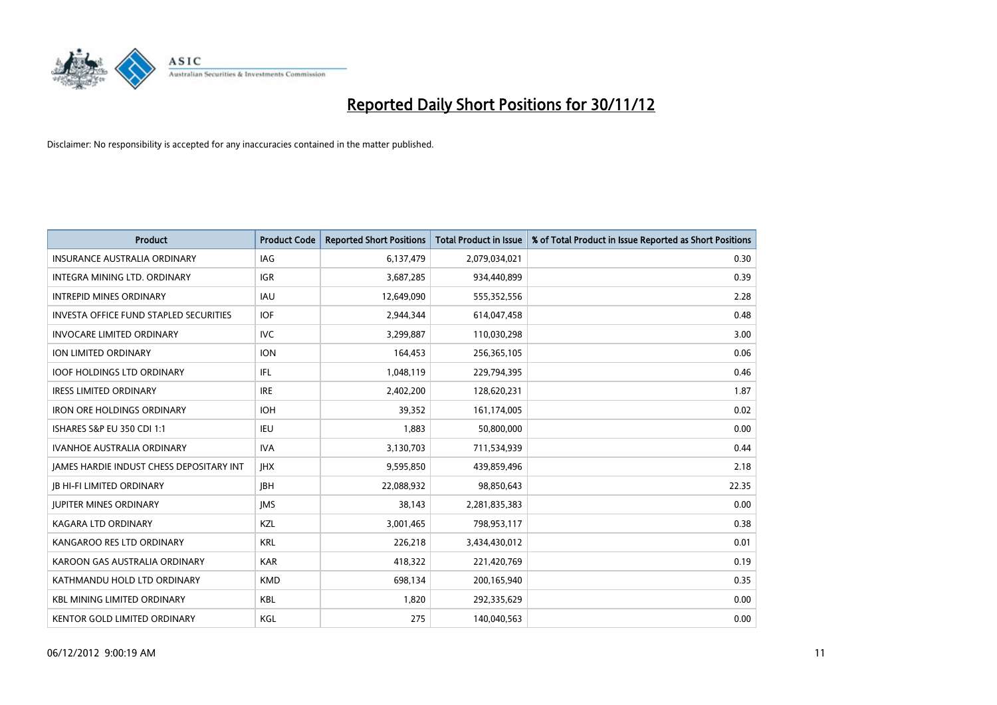

| <b>Product</b>                                  | <b>Product Code</b> | <b>Reported Short Positions</b> | <b>Total Product in Issue</b> | % of Total Product in Issue Reported as Short Positions |
|-------------------------------------------------|---------------------|---------------------------------|-------------------------------|---------------------------------------------------------|
| <b>INSURANCE AUSTRALIA ORDINARY</b>             | IAG                 | 6,137,479                       | 2,079,034,021                 | 0.30                                                    |
| <b>INTEGRA MINING LTD, ORDINARY</b>             | <b>IGR</b>          | 3,687,285                       | 934,440,899                   | 0.39                                                    |
| <b>INTREPID MINES ORDINARY</b>                  | <b>IAU</b>          | 12,649,090                      | 555,352,556                   | 2.28                                                    |
| <b>INVESTA OFFICE FUND STAPLED SECURITIES</b>   | <b>IOF</b>          | 2,944,344                       | 614,047,458                   | 0.48                                                    |
| <b>INVOCARE LIMITED ORDINARY</b>                | <b>IVC</b>          | 3,299,887                       | 110,030,298                   | 3.00                                                    |
| <b>ION LIMITED ORDINARY</b>                     | <b>ION</b>          | 164,453                         | 256,365,105                   | 0.06                                                    |
| <b>IOOF HOLDINGS LTD ORDINARY</b>               | <b>IFL</b>          | 1,048,119                       | 229,794,395                   | 0.46                                                    |
| <b>IRESS LIMITED ORDINARY</b>                   | <b>IRE</b>          | 2,402,200                       | 128,620,231                   | 1.87                                                    |
| <b>IRON ORE HOLDINGS ORDINARY</b>               | <b>IOH</b>          | 39,352                          | 161,174,005                   | 0.02                                                    |
| ISHARES S&P EU 350 CDI 1:1                      | <b>IEU</b>          | 1.883                           | 50,800,000                    | 0.00                                                    |
| <b>IVANHOE AUSTRALIA ORDINARY</b>               | <b>IVA</b>          | 3,130,703                       | 711,534,939                   | 0.44                                                    |
| <b>JAMES HARDIE INDUST CHESS DEPOSITARY INT</b> | <b>IHX</b>          | 9,595,850                       | 439,859,496                   | 2.18                                                    |
| <b>IB HI-FI LIMITED ORDINARY</b>                | <b>IBH</b>          | 22,088,932                      | 98,850,643                    | 22.35                                                   |
| <b>JUPITER MINES ORDINARY</b>                   | <b>IMS</b>          | 38.143                          | 2,281,835,383                 | 0.00                                                    |
| <b>KAGARA LTD ORDINARY</b>                      | KZL                 | 3,001,465                       | 798,953,117                   | 0.38                                                    |
| KANGAROO RES LTD ORDINARY                       | <b>KRL</b>          | 226,218                         | 3,434,430,012                 | 0.01                                                    |
| KAROON GAS AUSTRALIA ORDINARY                   | <b>KAR</b>          | 418,322                         | 221,420,769                   | 0.19                                                    |
| KATHMANDU HOLD LTD ORDINARY                     | <b>KMD</b>          | 698,134                         | 200,165,940                   | 0.35                                                    |
| <b>KBL MINING LIMITED ORDINARY</b>              | <b>KBL</b>          | 1,820                           | 292,335,629                   | 0.00                                                    |
| <b>KENTOR GOLD LIMITED ORDINARY</b>             | KGL                 | 275                             | 140,040,563                   | 0.00                                                    |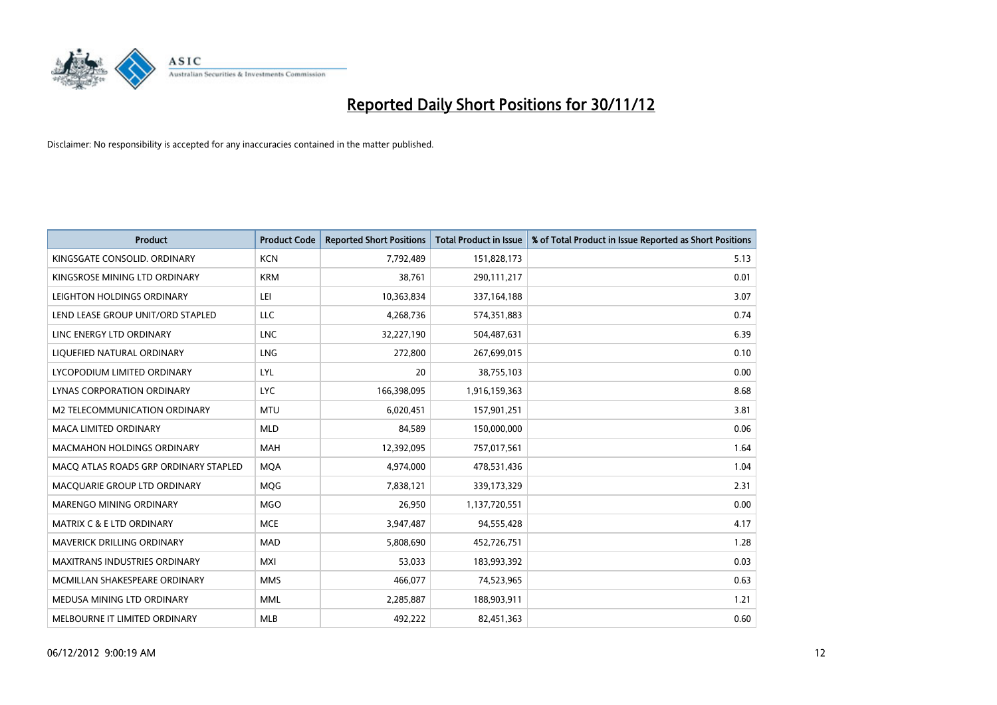

| <b>Product</b>                        | <b>Product Code</b> | <b>Reported Short Positions</b> | <b>Total Product in Issue</b> | % of Total Product in Issue Reported as Short Positions |
|---------------------------------------|---------------------|---------------------------------|-------------------------------|---------------------------------------------------------|
| KINGSGATE CONSOLID. ORDINARY          | <b>KCN</b>          | 7,792,489                       | 151,828,173                   | 5.13                                                    |
| KINGSROSE MINING LTD ORDINARY         | <b>KRM</b>          | 38,761                          | 290,111,217                   | 0.01                                                    |
| LEIGHTON HOLDINGS ORDINARY            | LEI                 | 10,363,834                      | 337,164,188                   | 3.07                                                    |
| LEND LEASE GROUP UNIT/ORD STAPLED     | LLC                 | 4,268,736                       | 574,351,883                   | 0.74                                                    |
| LINC ENERGY LTD ORDINARY              | <b>LNC</b>          | 32,227,190                      | 504,487,631                   | 6.39                                                    |
| LIQUEFIED NATURAL ORDINARY            | LNG                 | 272,800                         | 267,699,015                   | 0.10                                                    |
| LYCOPODIUM LIMITED ORDINARY           | <b>LYL</b>          | 20                              | 38,755,103                    | 0.00                                                    |
| LYNAS CORPORATION ORDINARY            | <b>LYC</b>          | 166,398,095                     | 1,916,159,363                 | 8.68                                                    |
| <b>M2 TELECOMMUNICATION ORDINARY</b>  | <b>MTU</b>          | 6,020,451                       | 157,901,251                   | 3.81                                                    |
| <b>MACA LIMITED ORDINARY</b>          | <b>MLD</b>          | 84,589                          | 150,000,000                   | 0.06                                                    |
| MACMAHON HOLDINGS ORDINARY            | <b>MAH</b>          | 12,392,095                      | 757,017,561                   | 1.64                                                    |
| MACQ ATLAS ROADS GRP ORDINARY STAPLED | <b>MQA</b>          | 4,974,000                       | 478,531,436                   | 1.04                                                    |
| MACQUARIE GROUP LTD ORDINARY          | <b>MOG</b>          | 7,838,121                       | 339,173,329                   | 2.31                                                    |
| <b>MARENGO MINING ORDINARY</b>        | <b>MGO</b>          | 26,950                          | 1,137,720,551                 | 0.00                                                    |
| <b>MATRIX C &amp; E LTD ORDINARY</b>  | <b>MCE</b>          | 3,947,487                       | 94,555,428                    | 4.17                                                    |
| MAVERICK DRILLING ORDINARY            | <b>MAD</b>          | 5,808,690                       | 452,726,751                   | 1.28                                                    |
| MAXITRANS INDUSTRIES ORDINARY         | <b>MXI</b>          | 53,033                          | 183,993,392                   | 0.03                                                    |
| MCMILLAN SHAKESPEARE ORDINARY         | <b>MMS</b>          | 466,077                         | 74,523,965                    | 0.63                                                    |
| MEDUSA MINING LTD ORDINARY            | <b>MML</b>          | 2,285,887                       | 188,903,911                   | 1.21                                                    |
| MELBOURNE IT LIMITED ORDINARY         | <b>MLB</b>          | 492,222                         | 82,451,363                    | 0.60                                                    |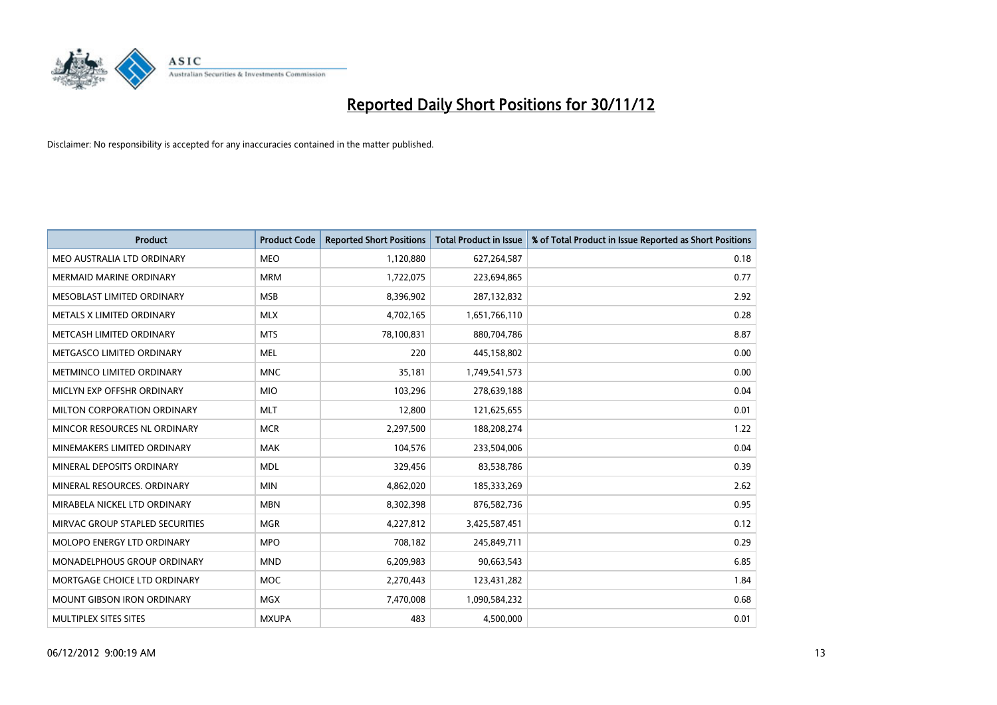

| <b>Product</b>                    | <b>Product Code</b> | <b>Reported Short Positions</b> | <b>Total Product in Issue</b> | % of Total Product in Issue Reported as Short Positions |
|-----------------------------------|---------------------|---------------------------------|-------------------------------|---------------------------------------------------------|
| MEO AUSTRALIA LTD ORDINARY        | <b>MEO</b>          | 1,120,880                       | 627,264,587                   | 0.18                                                    |
| MERMAID MARINE ORDINARY           | <b>MRM</b>          | 1,722,075                       | 223,694,865                   | 0.77                                                    |
| MESOBLAST LIMITED ORDINARY        | <b>MSB</b>          | 8,396,902                       | 287,132,832                   | 2.92                                                    |
| METALS X LIMITED ORDINARY         | <b>MLX</b>          | 4,702,165                       | 1,651,766,110                 | 0.28                                                    |
| METCASH LIMITED ORDINARY          | <b>MTS</b>          | 78,100,831                      | 880,704,786                   | 8.87                                                    |
| METGASCO LIMITED ORDINARY         | <b>MEL</b>          | 220                             | 445,158,802                   | 0.00                                                    |
| METMINCO LIMITED ORDINARY         | <b>MNC</b>          | 35,181                          | 1,749,541,573                 | 0.00                                                    |
| MICLYN EXP OFFSHR ORDINARY        | <b>MIO</b>          | 103,296                         | 278,639,188                   | 0.04                                                    |
| MILTON CORPORATION ORDINARY       | <b>MLT</b>          | 12,800                          | 121,625,655                   | 0.01                                                    |
| MINCOR RESOURCES NL ORDINARY      | <b>MCR</b>          | 2,297,500                       | 188,208,274                   | 1.22                                                    |
| MINEMAKERS LIMITED ORDINARY       | <b>MAK</b>          | 104,576                         | 233,504,006                   | 0.04                                                    |
| MINERAL DEPOSITS ORDINARY         | <b>MDL</b>          | 329,456                         | 83,538,786                    | 0.39                                                    |
| MINERAL RESOURCES, ORDINARY       | <b>MIN</b>          | 4,862,020                       | 185,333,269                   | 2.62                                                    |
| MIRABELA NICKEL LTD ORDINARY      | <b>MBN</b>          | 8,302,398                       | 876,582,736                   | 0.95                                                    |
| MIRVAC GROUP STAPLED SECURITIES   | <b>MGR</b>          | 4,227,812                       | 3,425,587,451                 | 0.12                                                    |
| MOLOPO ENERGY LTD ORDINARY        | <b>MPO</b>          | 708,182                         | 245,849,711                   | 0.29                                                    |
| MONADELPHOUS GROUP ORDINARY       | <b>MND</b>          | 6,209,983                       | 90,663,543                    | 6.85                                                    |
| MORTGAGE CHOICE LTD ORDINARY      | <b>MOC</b>          | 2,270,443                       | 123,431,282                   | 1.84                                                    |
| <b>MOUNT GIBSON IRON ORDINARY</b> | <b>MGX</b>          | 7,470,008                       | 1,090,584,232                 | 0.68                                                    |
| MULTIPLEX SITES SITES             | <b>MXUPA</b>        | 483                             | 4,500,000                     | 0.01                                                    |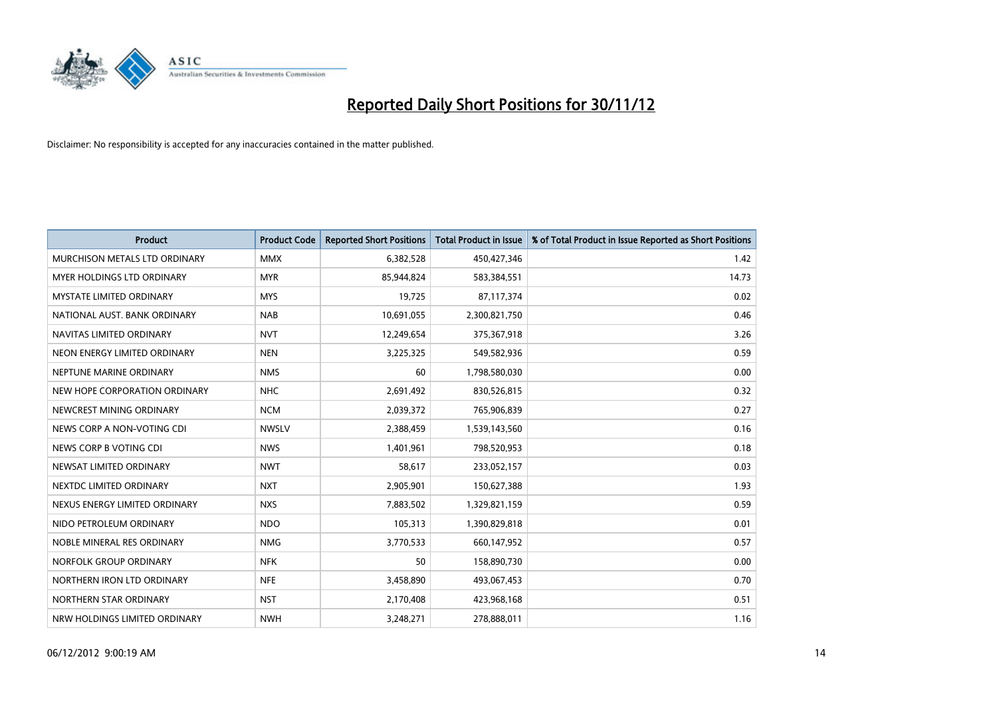

| <b>Product</b>                       | <b>Product Code</b> | <b>Reported Short Positions</b> | <b>Total Product in Issue</b> | % of Total Product in Issue Reported as Short Positions |
|--------------------------------------|---------------------|---------------------------------|-------------------------------|---------------------------------------------------------|
| <b>MURCHISON METALS LTD ORDINARY</b> | <b>MMX</b>          | 6,382,528                       | 450,427,346                   | 1.42                                                    |
| MYER HOLDINGS LTD ORDINARY           | <b>MYR</b>          | 85,944,824                      | 583,384,551                   | 14.73                                                   |
| <b>MYSTATE LIMITED ORDINARY</b>      | <b>MYS</b>          | 19,725                          | 87,117,374                    | 0.02                                                    |
| NATIONAL AUST. BANK ORDINARY         | <b>NAB</b>          | 10,691,055                      | 2,300,821,750                 | 0.46                                                    |
| NAVITAS LIMITED ORDINARY             | <b>NVT</b>          | 12,249,654                      | 375,367,918                   | 3.26                                                    |
| NEON ENERGY LIMITED ORDINARY         | <b>NEN</b>          | 3,225,325                       | 549,582,936                   | 0.59                                                    |
| NEPTUNE MARINE ORDINARY              | <b>NMS</b>          | 60                              | 1,798,580,030                 | 0.00                                                    |
| NEW HOPE CORPORATION ORDINARY        | <b>NHC</b>          | 2,691,492                       | 830,526,815                   | 0.32                                                    |
| NEWCREST MINING ORDINARY             | <b>NCM</b>          | 2,039,372                       | 765,906,839                   | 0.27                                                    |
| NEWS CORP A NON-VOTING CDI           | <b>NWSLV</b>        | 2,388,459                       | 1,539,143,560                 | 0.16                                                    |
| NEWS CORP B VOTING CDI               | <b>NWS</b>          | 1,401,961                       | 798,520,953                   | 0.18                                                    |
| NEWSAT LIMITED ORDINARY              | <b>NWT</b>          | 58,617                          | 233,052,157                   | 0.03                                                    |
| NEXTDC LIMITED ORDINARY              | <b>NXT</b>          | 2,905,901                       | 150,627,388                   | 1.93                                                    |
| NEXUS ENERGY LIMITED ORDINARY        | <b>NXS</b>          | 7,883,502                       | 1,329,821,159                 | 0.59                                                    |
| NIDO PETROLEUM ORDINARY              | <b>NDO</b>          | 105,313                         | 1,390,829,818                 | 0.01                                                    |
| NOBLE MINERAL RES ORDINARY           | <b>NMG</b>          | 3,770,533                       | 660,147,952                   | 0.57                                                    |
| NORFOLK GROUP ORDINARY               | <b>NFK</b>          | 50                              | 158,890,730                   | 0.00                                                    |
| NORTHERN IRON LTD ORDINARY           | <b>NFE</b>          | 3,458,890                       | 493,067,453                   | 0.70                                                    |
| NORTHERN STAR ORDINARY               | <b>NST</b>          | 2,170,408                       | 423,968,168                   | 0.51                                                    |
| NRW HOLDINGS LIMITED ORDINARY        | <b>NWH</b>          | 3,248,271                       | 278,888,011                   | 1.16                                                    |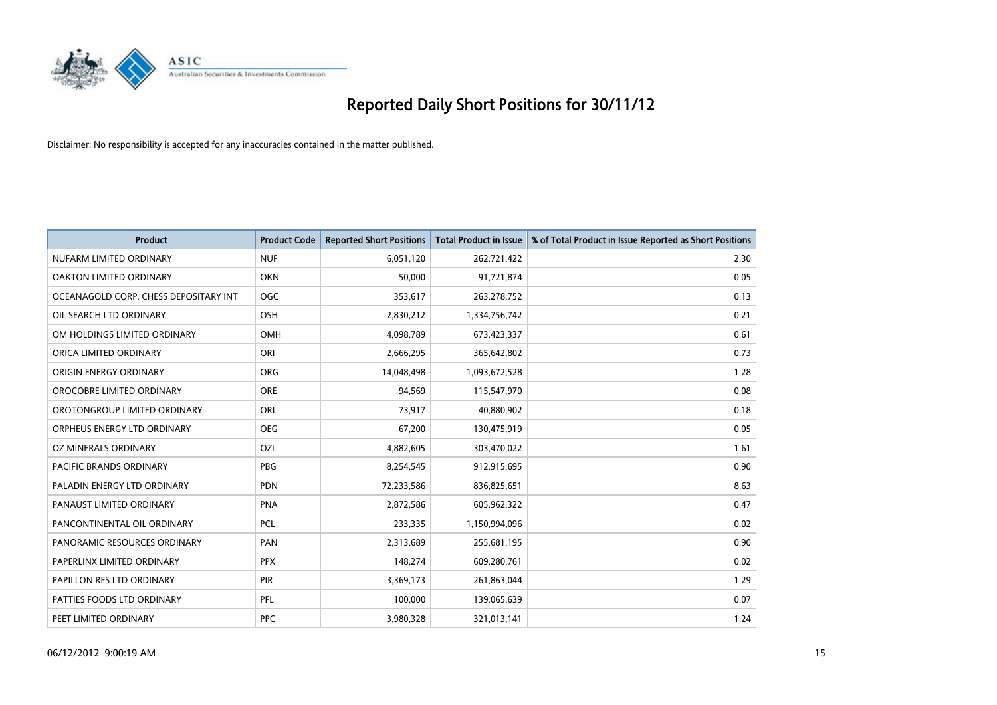

| <b>Product</b>                        | <b>Product Code</b> | <b>Reported Short Positions</b> | <b>Total Product in Issue</b> | % of Total Product in Issue Reported as Short Positions |
|---------------------------------------|---------------------|---------------------------------|-------------------------------|---------------------------------------------------------|
| NUFARM LIMITED ORDINARY               | <b>NUF</b>          | 6,051,120                       | 262,721,422                   | 2.30                                                    |
| OAKTON LIMITED ORDINARY               | <b>OKN</b>          | 50,000                          | 91,721,874                    | 0.05                                                    |
| OCEANAGOLD CORP. CHESS DEPOSITARY INT | <b>OGC</b>          | 353,617                         | 263,278,752                   | 0.13                                                    |
| OIL SEARCH LTD ORDINARY               | OSH                 | 2,830,212                       | 1,334,756,742                 | 0.21                                                    |
| OM HOLDINGS LIMITED ORDINARY          | OMH                 | 4,098,789                       | 673,423,337                   | 0.61                                                    |
| ORICA LIMITED ORDINARY                | ORI                 | 2,666,295                       | 365,642,802                   | 0.73                                                    |
| ORIGIN ENERGY ORDINARY                | <b>ORG</b>          | 14,048,498                      | 1,093,672,528                 | 1.28                                                    |
| OROCOBRE LIMITED ORDINARY             | <b>ORE</b>          | 94,569                          | 115,547,970                   | 0.08                                                    |
| OROTONGROUP LIMITED ORDINARY          | ORL                 | 73,917                          | 40,880,902                    | 0.18                                                    |
| ORPHEUS ENERGY LTD ORDINARY           | <b>OEG</b>          | 67,200                          | 130,475,919                   | 0.05                                                    |
| OZ MINERALS ORDINARY                  | OZL                 | 4,882,605                       | 303,470,022                   | 1.61                                                    |
| PACIFIC BRANDS ORDINARY               | <b>PBG</b>          | 8,254,545                       | 912,915,695                   | 0.90                                                    |
| PALADIN ENERGY LTD ORDINARY           | <b>PDN</b>          | 72,233,586                      | 836,825,651                   | 8.63                                                    |
| PANAUST LIMITED ORDINARY              | <b>PNA</b>          | 2,872,586                       | 605,962,322                   | 0.47                                                    |
| PANCONTINENTAL OIL ORDINARY           | <b>PCL</b>          | 233,335                         | 1,150,994,096                 | 0.02                                                    |
| PANORAMIC RESOURCES ORDINARY          | PAN                 | 2,313,689                       | 255,681,195                   | 0.90                                                    |
| PAPERLINX LIMITED ORDINARY            | <b>PPX</b>          | 148,274                         | 609,280,761                   | 0.02                                                    |
| PAPILLON RES LTD ORDINARY             | <b>PIR</b>          | 3,369,173                       | 261,863,044                   | 1.29                                                    |
| PATTIES FOODS LTD ORDINARY            | PFL                 | 100,000                         | 139,065,639                   | 0.07                                                    |
| PEET LIMITED ORDINARY                 | <b>PPC</b>          | 3,980,328                       | 321,013,141                   | 1.24                                                    |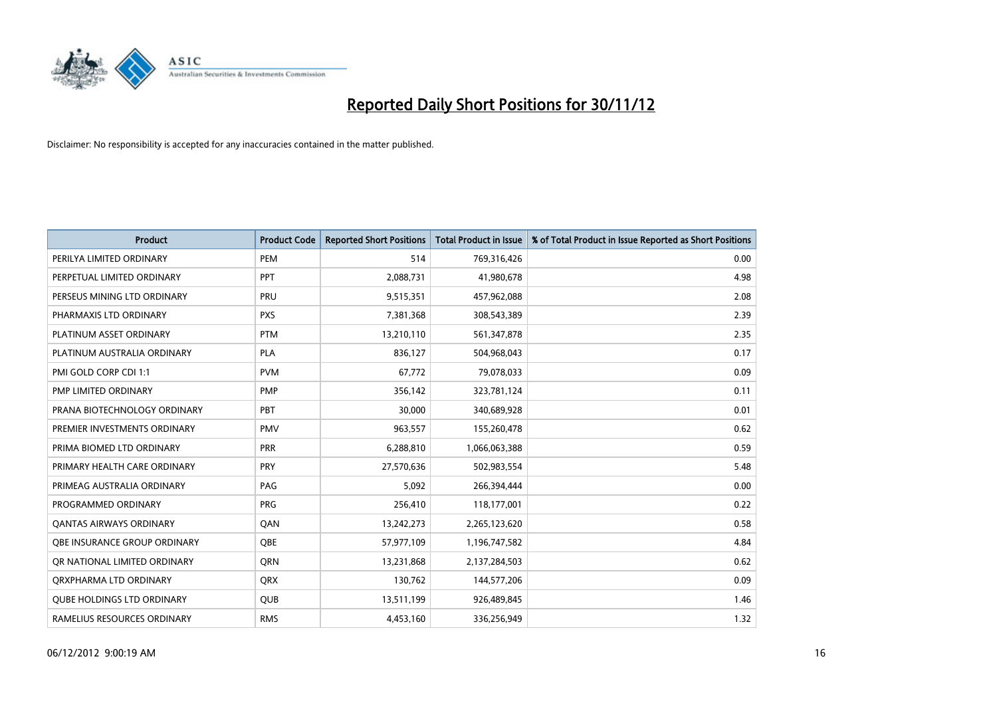

| <b>Product</b>                      | <b>Product Code</b> | <b>Reported Short Positions</b> | <b>Total Product in Issue</b> | % of Total Product in Issue Reported as Short Positions |
|-------------------------------------|---------------------|---------------------------------|-------------------------------|---------------------------------------------------------|
| PERILYA LIMITED ORDINARY            | PEM                 | 514                             | 769,316,426                   | 0.00                                                    |
| PERPETUAL LIMITED ORDINARY          | <b>PPT</b>          | 2,088,731                       | 41,980,678                    | 4.98                                                    |
| PERSEUS MINING LTD ORDINARY         | PRU                 | 9,515,351                       | 457,962,088                   | 2.08                                                    |
| PHARMAXIS LTD ORDINARY              | <b>PXS</b>          | 7,381,368                       | 308,543,389                   | 2.39                                                    |
| PLATINUM ASSET ORDINARY             | <b>PTM</b>          | 13,210,110                      | 561,347,878                   | 2.35                                                    |
| PLATINUM AUSTRALIA ORDINARY         | PLA                 | 836,127                         | 504,968,043                   | 0.17                                                    |
| PMI GOLD CORP CDI 1:1               | <b>PVM</b>          | 67,772                          | 79,078,033                    | 0.09                                                    |
| PMP LIMITED ORDINARY                | <b>PMP</b>          | 356,142                         | 323,781,124                   | 0.11                                                    |
| PRANA BIOTECHNOLOGY ORDINARY        | PBT                 | 30,000                          | 340,689,928                   | 0.01                                                    |
| PREMIER INVESTMENTS ORDINARY        | <b>PMV</b>          | 963,557                         | 155,260,478                   | 0.62                                                    |
| PRIMA BIOMED LTD ORDINARY           | <b>PRR</b>          | 6,288,810                       | 1,066,063,388                 | 0.59                                                    |
| PRIMARY HEALTH CARE ORDINARY        | <b>PRY</b>          | 27,570,636                      | 502,983,554                   | 5.48                                                    |
| PRIMEAG AUSTRALIA ORDINARY          | PAG                 | 5,092                           | 266,394,444                   | 0.00                                                    |
| PROGRAMMED ORDINARY                 | <b>PRG</b>          | 256,410                         | 118,177,001                   | 0.22                                                    |
| <b>QANTAS AIRWAYS ORDINARY</b>      | QAN                 | 13,242,273                      | 2,265,123,620                 | 0.58                                                    |
| <b>OBE INSURANCE GROUP ORDINARY</b> | <b>OBE</b>          | 57,977,109                      | 1,196,747,582                 | 4.84                                                    |
| OR NATIONAL LIMITED ORDINARY        | <b>ORN</b>          | 13,231,868                      | 2,137,284,503                 | 0.62                                                    |
| ORXPHARMA LTD ORDINARY              | <b>QRX</b>          | 130,762                         | 144,577,206                   | 0.09                                                    |
| <b>QUBE HOLDINGS LTD ORDINARY</b>   | <b>QUB</b>          | 13,511,199                      | 926,489,845                   | 1.46                                                    |
| RAMELIUS RESOURCES ORDINARY         | <b>RMS</b>          | 4,453,160                       | 336,256,949                   | 1.32                                                    |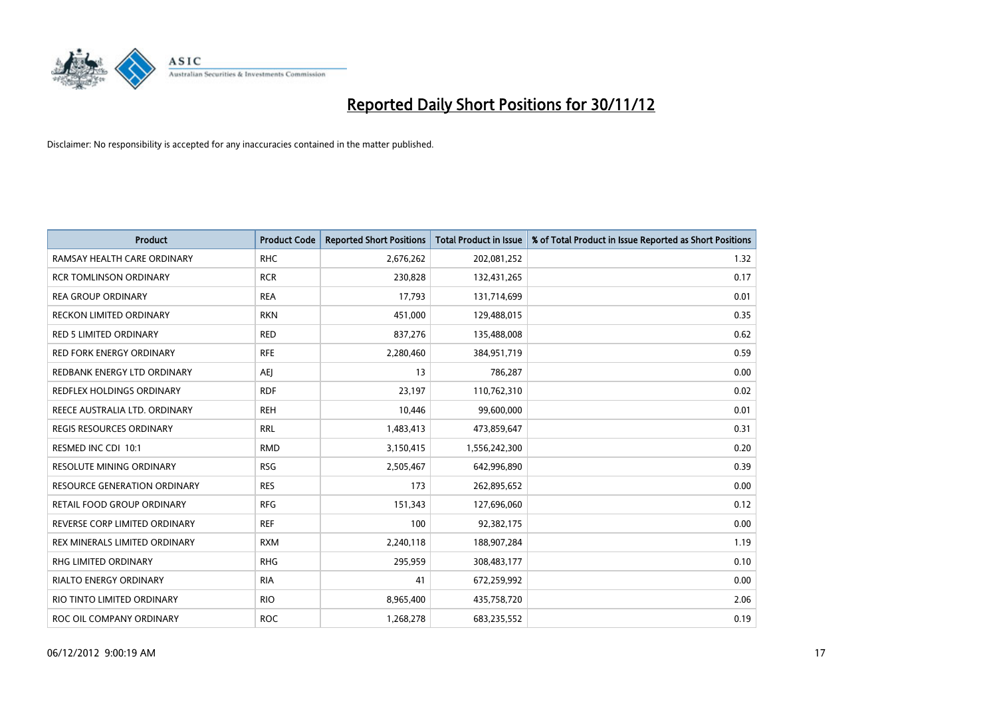

| <b>Product</b>                  | <b>Product Code</b> | <b>Reported Short Positions</b> | <b>Total Product in Issue</b> | % of Total Product in Issue Reported as Short Positions |
|---------------------------------|---------------------|---------------------------------|-------------------------------|---------------------------------------------------------|
| RAMSAY HEALTH CARE ORDINARY     | <b>RHC</b>          | 2,676,262                       | 202,081,252                   | 1.32                                                    |
| <b>RCR TOMLINSON ORDINARY</b>   | <b>RCR</b>          | 230,828                         | 132,431,265                   | 0.17                                                    |
| <b>REA GROUP ORDINARY</b>       | <b>REA</b>          | 17,793                          | 131,714,699                   | 0.01                                                    |
| RECKON LIMITED ORDINARY         | <b>RKN</b>          | 451,000                         | 129,488,015                   | 0.35                                                    |
| <b>RED 5 LIMITED ORDINARY</b>   | <b>RED</b>          | 837,276                         | 135,488,008                   | 0.62                                                    |
| <b>RED FORK ENERGY ORDINARY</b> | <b>RFE</b>          | 2,280,460                       | 384,951,719                   | 0.59                                                    |
| REDBANK ENERGY LTD ORDINARY     | AEJ                 | 13                              | 786,287                       | 0.00                                                    |
| REDFLEX HOLDINGS ORDINARY       | <b>RDF</b>          | 23,197                          | 110,762,310                   | 0.02                                                    |
| REECE AUSTRALIA LTD. ORDINARY   | <b>REH</b>          | 10,446                          | 99,600,000                    | 0.01                                                    |
| <b>REGIS RESOURCES ORDINARY</b> | <b>RRL</b>          | 1,483,413                       | 473,859,647                   | 0.31                                                    |
| RESMED INC CDI 10:1             | <b>RMD</b>          | 3,150,415                       | 1,556,242,300                 | 0.20                                                    |
| <b>RESOLUTE MINING ORDINARY</b> | <b>RSG</b>          | 2,505,467                       | 642,996,890                   | 0.39                                                    |
| RESOURCE GENERATION ORDINARY    | <b>RES</b>          | 173                             | 262,895,652                   | 0.00                                                    |
| RETAIL FOOD GROUP ORDINARY      | <b>RFG</b>          | 151,343                         | 127,696,060                   | 0.12                                                    |
| REVERSE CORP LIMITED ORDINARY   | <b>REF</b>          | 100                             | 92,382,175                    | 0.00                                                    |
| REX MINERALS LIMITED ORDINARY   | <b>RXM</b>          | 2,240,118                       | 188,907,284                   | 1.19                                                    |
| RHG LIMITED ORDINARY            | <b>RHG</b>          | 295,959                         | 308,483,177                   | 0.10                                                    |
| RIALTO ENERGY ORDINARY          | <b>RIA</b>          | 41                              | 672,259,992                   | 0.00                                                    |
| RIO TINTO LIMITED ORDINARY      | <b>RIO</b>          | 8,965,400                       | 435,758,720                   | 2.06                                                    |
| ROC OIL COMPANY ORDINARY        | <b>ROC</b>          | 1,268,278                       | 683,235,552                   | 0.19                                                    |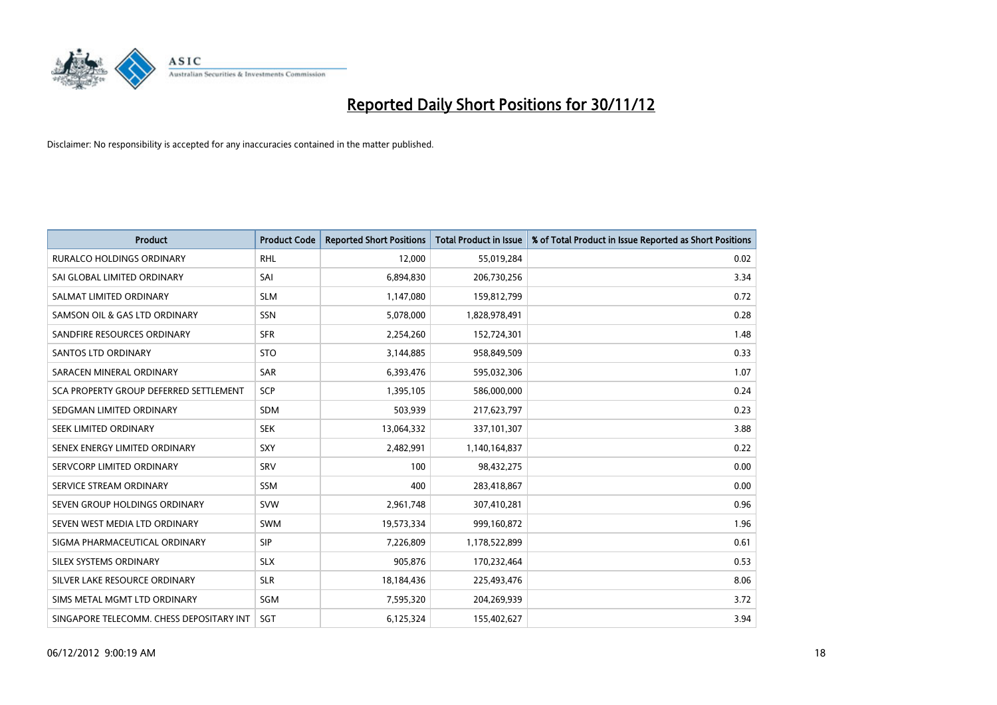

| <b>Product</b>                           | <b>Product Code</b> | <b>Reported Short Positions</b> | <b>Total Product in Issue</b> | % of Total Product in Issue Reported as Short Positions |
|------------------------------------------|---------------------|---------------------------------|-------------------------------|---------------------------------------------------------|
| <b>RURALCO HOLDINGS ORDINARY</b>         | <b>RHL</b>          | 12,000                          | 55,019,284                    | 0.02                                                    |
| SAI GLOBAL LIMITED ORDINARY              | SAI                 | 6,894,830                       | 206,730,256                   | 3.34                                                    |
| SALMAT LIMITED ORDINARY                  | <b>SLM</b>          | 1,147,080                       | 159,812,799                   | 0.72                                                    |
| SAMSON OIL & GAS LTD ORDINARY            | SSN                 | 5,078,000                       | 1,828,978,491                 | 0.28                                                    |
| SANDFIRE RESOURCES ORDINARY              | <b>SFR</b>          | 2,254,260                       | 152,724,301                   | 1.48                                                    |
| <b>SANTOS LTD ORDINARY</b>               | <b>STO</b>          | 3,144,885                       | 958,849,509                   | 0.33                                                    |
| SARACEN MINERAL ORDINARY                 | <b>SAR</b>          | 6,393,476                       | 595,032,306                   | 1.07                                                    |
| SCA PROPERTY GROUP DEFERRED SETTLEMENT   | SCP                 | 1,395,105                       | 586,000,000                   | 0.24                                                    |
| SEDGMAN LIMITED ORDINARY                 | SDM                 | 503,939                         | 217,623,797                   | 0.23                                                    |
| SEEK LIMITED ORDINARY                    | <b>SEK</b>          | 13,064,332                      | 337,101,307                   | 3.88                                                    |
| SENEX ENERGY LIMITED ORDINARY            | <b>SXY</b>          | 2,482,991                       | 1,140,164,837                 | 0.22                                                    |
| SERVCORP LIMITED ORDINARY                | SRV                 | 100                             | 98,432,275                    | 0.00                                                    |
| SERVICE STREAM ORDINARY                  | <b>SSM</b>          | 400                             | 283,418,867                   | 0.00                                                    |
| SEVEN GROUP HOLDINGS ORDINARY            | <b>SVW</b>          | 2,961,748                       | 307,410,281                   | 0.96                                                    |
| SEVEN WEST MEDIA LTD ORDINARY            | <b>SWM</b>          | 19,573,334                      | 999,160,872                   | 1.96                                                    |
| SIGMA PHARMACEUTICAL ORDINARY            | <b>SIP</b>          | 7,226,809                       | 1,178,522,899                 | 0.61                                                    |
| <b>SILEX SYSTEMS ORDINARY</b>            | <b>SLX</b>          | 905,876                         | 170,232,464                   | 0.53                                                    |
| SILVER LAKE RESOURCE ORDINARY            | <b>SLR</b>          | 18,184,436                      | 225,493,476                   | 8.06                                                    |
| SIMS METAL MGMT LTD ORDINARY             | SGM                 | 7,595,320                       | 204,269,939                   | 3.72                                                    |
| SINGAPORE TELECOMM. CHESS DEPOSITARY INT | <b>SGT</b>          | 6,125,324                       | 155,402,627                   | 3.94                                                    |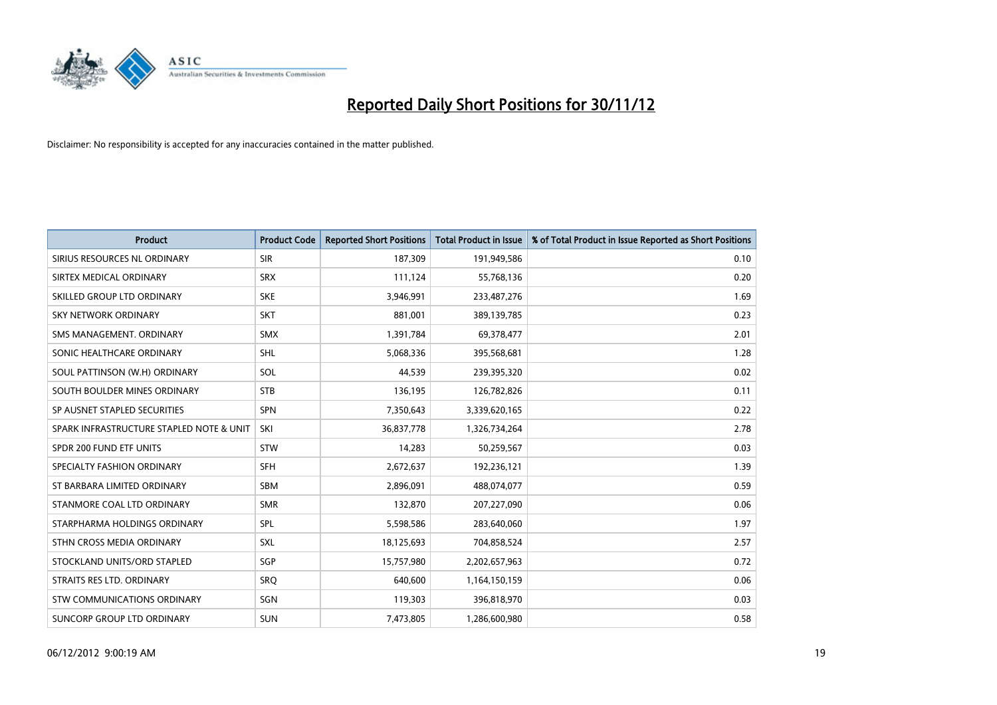

| <b>Product</b>                           | <b>Product Code</b> | <b>Reported Short Positions</b> | <b>Total Product in Issue</b> | % of Total Product in Issue Reported as Short Positions |
|------------------------------------------|---------------------|---------------------------------|-------------------------------|---------------------------------------------------------|
| SIRIUS RESOURCES NL ORDINARY             | <b>SIR</b>          | 187,309                         | 191,949,586                   | 0.10                                                    |
| SIRTEX MEDICAL ORDINARY                  | <b>SRX</b>          | 111,124                         | 55,768,136                    | 0.20                                                    |
| SKILLED GROUP LTD ORDINARY               | <b>SKE</b>          | 3,946,991                       | 233,487,276                   | 1.69                                                    |
| SKY NETWORK ORDINARY                     | <b>SKT</b>          | 881,001                         | 389,139,785                   | 0.23                                                    |
| SMS MANAGEMENT, ORDINARY                 | <b>SMX</b>          | 1,391,784                       | 69,378,477                    | 2.01                                                    |
| SONIC HEALTHCARE ORDINARY                | <b>SHL</b>          | 5,068,336                       | 395,568,681                   | 1.28                                                    |
| SOUL PATTINSON (W.H) ORDINARY            | SOL                 | 44,539                          | 239,395,320                   | 0.02                                                    |
| SOUTH BOULDER MINES ORDINARY             | <b>STB</b>          | 136,195                         | 126,782,826                   | 0.11                                                    |
| SP AUSNET STAPLED SECURITIES             | <b>SPN</b>          | 7,350,643                       | 3,339,620,165                 | 0.22                                                    |
| SPARK INFRASTRUCTURE STAPLED NOTE & UNIT | SKI                 | 36,837,778                      | 1,326,734,264                 | 2.78                                                    |
| SPDR 200 FUND ETF UNITS                  | <b>STW</b>          | 14,283                          | 50,259,567                    | 0.03                                                    |
| SPECIALTY FASHION ORDINARY               | <b>SFH</b>          | 2,672,637                       | 192,236,121                   | 1.39                                                    |
| ST BARBARA LIMITED ORDINARY              | <b>SBM</b>          | 2,896,091                       | 488,074,077                   | 0.59                                                    |
| STANMORE COAL LTD ORDINARY               | <b>SMR</b>          | 132,870                         | 207,227,090                   | 0.06                                                    |
| STARPHARMA HOLDINGS ORDINARY             | SPL                 | 5,598,586                       | 283,640,060                   | 1.97                                                    |
| STHN CROSS MEDIA ORDINARY                | SXL                 | 18,125,693                      | 704,858,524                   | 2.57                                                    |
| STOCKLAND UNITS/ORD STAPLED              | SGP                 | 15,757,980                      | 2,202,657,963                 | 0.72                                                    |
| STRAITS RES LTD. ORDINARY                | SRQ                 | 640,600                         | 1,164,150,159                 | 0.06                                                    |
| STW COMMUNICATIONS ORDINARY              | SGN                 | 119,303                         | 396,818,970                   | 0.03                                                    |
| SUNCORP GROUP LTD ORDINARY               | <b>SUN</b>          | 7,473,805                       | 1,286,600,980                 | 0.58                                                    |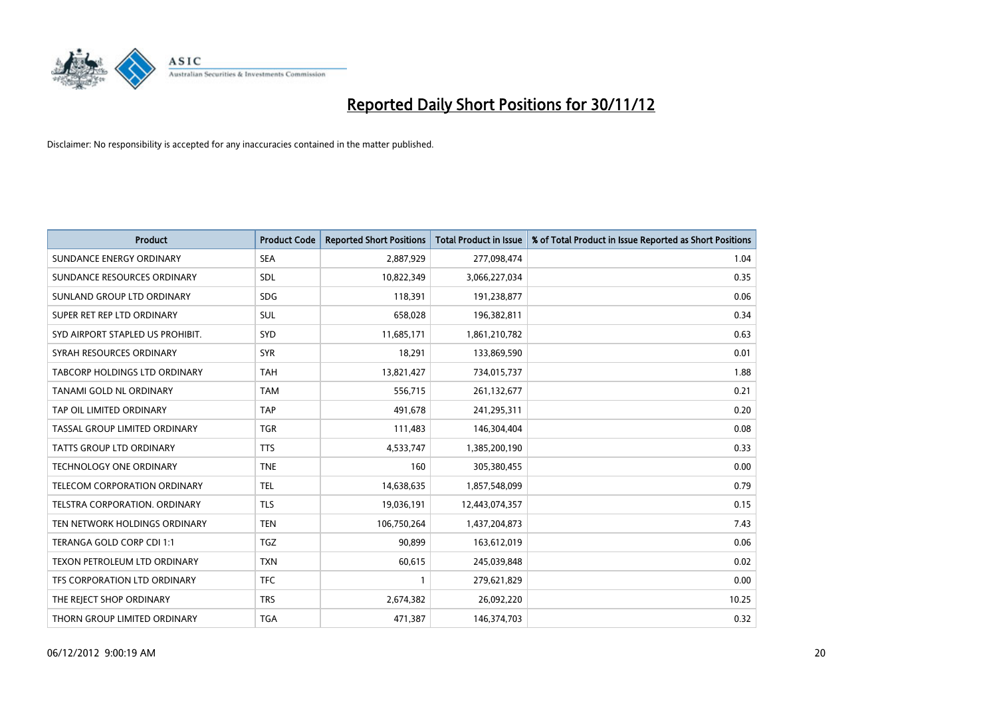

| <b>Product</b>                       | <b>Product Code</b> | <b>Reported Short Positions</b> | <b>Total Product in Issue</b> | % of Total Product in Issue Reported as Short Positions |
|--------------------------------------|---------------------|---------------------------------|-------------------------------|---------------------------------------------------------|
| SUNDANCE ENERGY ORDINARY             | <b>SEA</b>          | 2,887,929                       | 277,098,474                   | 1.04                                                    |
| SUNDANCE RESOURCES ORDINARY          | <b>SDL</b>          | 10,822,349                      | 3,066,227,034                 | 0.35                                                    |
| SUNLAND GROUP LTD ORDINARY           | <b>SDG</b>          | 118,391                         | 191,238,877                   | 0.06                                                    |
| SUPER RET REP LTD ORDINARY           | <b>SUL</b>          | 658,028                         | 196,382,811                   | 0.34                                                    |
| SYD AIRPORT STAPLED US PROHIBIT.     | <b>SYD</b>          | 11,685,171                      | 1,861,210,782                 | 0.63                                                    |
| SYRAH RESOURCES ORDINARY             | <b>SYR</b>          | 18,291                          | 133,869,590                   | 0.01                                                    |
| <b>TABCORP HOLDINGS LTD ORDINARY</b> | <b>TAH</b>          | 13,821,427                      | 734,015,737                   | 1.88                                                    |
| TANAMI GOLD NL ORDINARY              | <b>TAM</b>          | 556,715                         | 261,132,677                   | 0.21                                                    |
| TAP OIL LIMITED ORDINARY             | <b>TAP</b>          | 491.678                         | 241,295,311                   | 0.20                                                    |
| TASSAL GROUP LIMITED ORDINARY        | <b>TGR</b>          | 111,483                         | 146,304,404                   | 0.08                                                    |
| TATTS GROUP LTD ORDINARY             | <b>TTS</b>          | 4,533,747                       | 1,385,200,190                 | 0.33                                                    |
| TECHNOLOGY ONE ORDINARY              | <b>TNE</b>          | 160                             | 305,380,455                   | 0.00                                                    |
| <b>TELECOM CORPORATION ORDINARY</b>  | <b>TEL</b>          | 14,638,635                      | 1,857,548,099                 | 0.79                                                    |
| <b>TELSTRA CORPORATION, ORDINARY</b> | <b>TLS</b>          | 19,036,191                      | 12,443,074,357                | 0.15                                                    |
| TEN NETWORK HOLDINGS ORDINARY        | <b>TEN</b>          | 106,750,264                     | 1,437,204,873                 | 7.43                                                    |
| TERANGA GOLD CORP CDI 1:1            | <b>TGZ</b>          | 90,899                          | 163,612,019                   | 0.06                                                    |
| TEXON PETROLEUM LTD ORDINARY         | <b>TXN</b>          | 60,615                          | 245,039,848                   | 0.02                                                    |
| TFS CORPORATION LTD ORDINARY         | <b>TFC</b>          |                                 | 279,621,829                   | 0.00                                                    |
| THE REJECT SHOP ORDINARY             | <b>TRS</b>          | 2,674,382                       | 26,092,220                    | 10.25                                                   |
| THORN GROUP LIMITED ORDINARY         | <b>TGA</b>          | 471,387                         | 146,374,703                   | 0.32                                                    |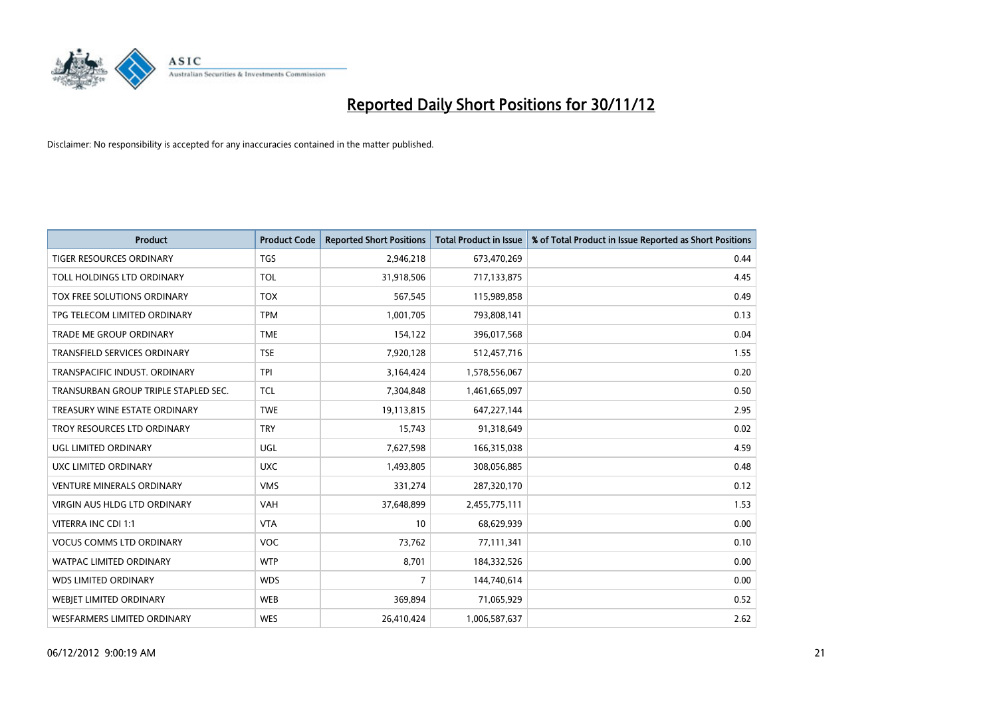

| <b>Product</b>                       | <b>Product Code</b> | <b>Reported Short Positions</b> | <b>Total Product in Issue</b> | % of Total Product in Issue Reported as Short Positions |
|--------------------------------------|---------------------|---------------------------------|-------------------------------|---------------------------------------------------------|
| <b>TIGER RESOURCES ORDINARY</b>      | <b>TGS</b>          | 2,946,218                       | 673,470,269                   | 0.44                                                    |
| TOLL HOLDINGS LTD ORDINARY           | <b>TOL</b>          | 31,918,506                      | 717,133,875                   | 4.45                                                    |
| TOX FREE SOLUTIONS ORDINARY          | <b>TOX</b>          | 567,545                         | 115,989,858                   | 0.49                                                    |
| TPG TELECOM LIMITED ORDINARY         | <b>TPM</b>          | 1,001,705                       | 793,808,141                   | 0.13                                                    |
| <b>TRADE ME GROUP ORDINARY</b>       | <b>TME</b>          | 154,122                         | 396,017,568                   | 0.04                                                    |
| <b>TRANSFIELD SERVICES ORDINARY</b>  | <b>TSE</b>          | 7,920,128                       | 512,457,716                   | 1.55                                                    |
| TRANSPACIFIC INDUST, ORDINARY        | <b>TPI</b>          | 3,164,424                       | 1,578,556,067                 | 0.20                                                    |
| TRANSURBAN GROUP TRIPLE STAPLED SEC. | <b>TCL</b>          | 7,304,848                       | 1,461,665,097                 | 0.50                                                    |
| TREASURY WINE ESTATE ORDINARY        | <b>TWE</b>          | 19,113,815                      | 647,227,144                   | 2.95                                                    |
| TROY RESOURCES LTD ORDINARY          | <b>TRY</b>          | 15,743                          | 91,318,649                    | 0.02                                                    |
| UGL LIMITED ORDINARY                 | UGL                 | 7,627,598                       | 166,315,038                   | 4.59                                                    |
| UXC LIMITED ORDINARY                 | <b>UXC</b>          | 1,493,805                       | 308,056,885                   | 0.48                                                    |
| <b>VENTURE MINERALS ORDINARY</b>     | <b>VMS</b>          | 331,274                         | 287,320,170                   | 0.12                                                    |
| <b>VIRGIN AUS HLDG LTD ORDINARY</b>  | VAH                 | 37,648,899                      | 2,455,775,111                 | 1.53                                                    |
| VITERRA INC CDI 1:1                  | <b>VTA</b>          | 10                              | 68,629,939                    | 0.00                                                    |
| <b>VOCUS COMMS LTD ORDINARY</b>      | <b>VOC</b>          | 73,762                          | 77,111,341                    | 0.10                                                    |
| WATPAC LIMITED ORDINARY              | <b>WTP</b>          | 8,701                           | 184,332,526                   | 0.00                                                    |
| <b>WDS LIMITED ORDINARY</b>          | <b>WDS</b>          | 7                               | 144,740,614                   | 0.00                                                    |
| <b>WEBJET LIMITED ORDINARY</b>       | <b>WEB</b>          | 369,894                         | 71,065,929                    | 0.52                                                    |
| WESFARMERS LIMITED ORDINARY          | <b>WES</b>          | 26,410,424                      | 1,006,587,637                 | 2.62                                                    |